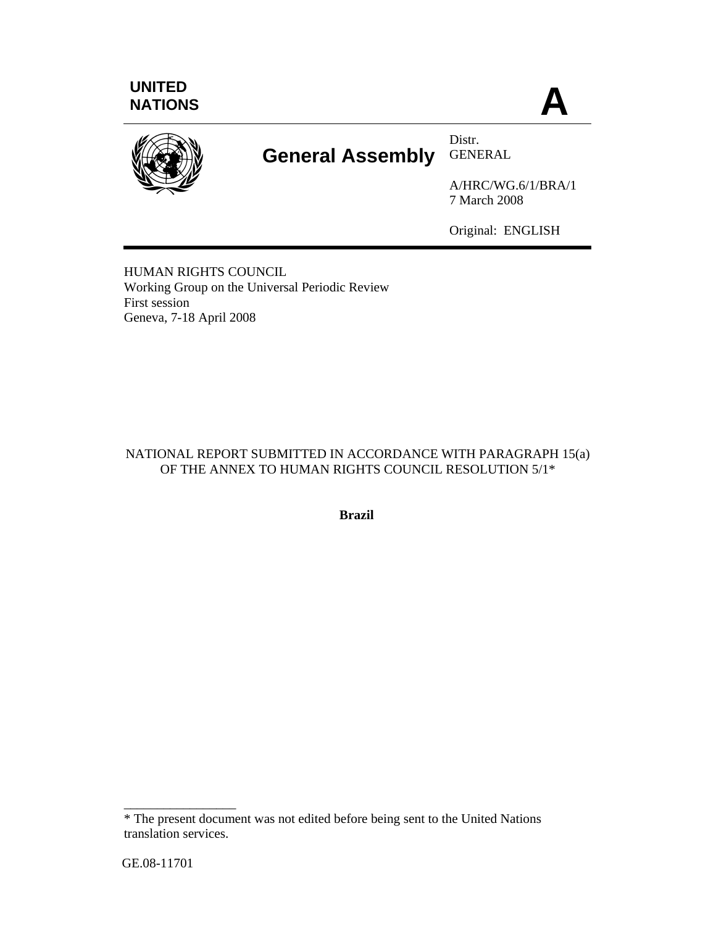





# **General Assembly** GENERAL

Distr.

A/HRC/WG.6/1/BRA/1 7 March 2008

Original: ENGLISH

HUMAN RIGHTS COUNCIL Working Group on the Universal Periodic Review First session Geneva, 7-18 April 2008

# NATIONAL REPORT SUBMITTED IN ACCORDANCE WITH PARAGRAPH 15(a) OF THE ANNEX TO HUMAN RIGHTS COUNCIL RESOLUTION 5/1\*

**Brazil** 

\_\_\_\_\_\_\_\_\_\_\_\_\_\_\_\_\_

<sup>\*</sup> The present document was not edited before being sent to the United Nations translation services.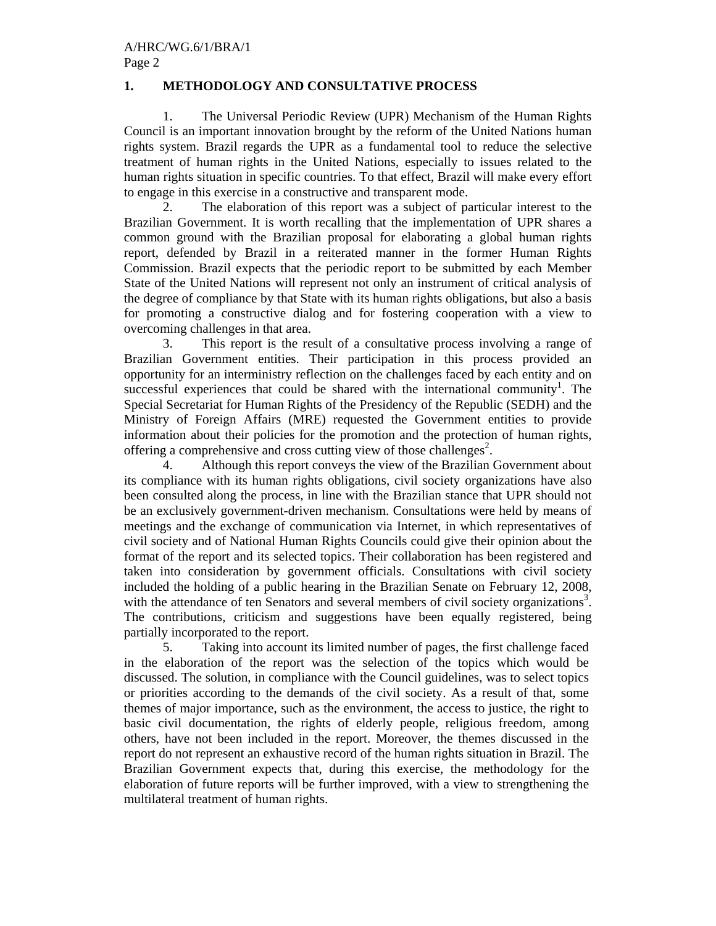# **1. METHODOLOGY AND CONSULTATIVE PROCESS**

1. The Universal Periodic Review (UPR) Mechanism of the Human Rights Council is an important innovation brought by the reform of the United Nations human rights system. Brazil regards the UPR as a fundamental tool to reduce the selective treatment of human rights in the United Nations, especially to issues related to the human rights situation in specific countries. To that effect, Brazil will make every effort to engage in this exercise in a constructive and transparent mode.

2. The elaboration of this report was a subject of particular interest to the Brazilian Government. It is worth recalling that the implementation of UPR shares a common ground with the Brazilian proposal for elaborating a global human rights report, defended by Brazil in a reiterated manner in the former Human Rights Commission. Brazil expects that the periodic report to be submitted by each Member State of the United Nations will represent not only an instrument of critical analysis of the degree of compliance by that State with its human rights obligations, but also a basis for promoting a constructive dialog and for fostering cooperation with a view to overcoming challenges in that area.

3. This report is the result of a consultative process involving a range of Brazilian Government entities. Their participation in this process provided an opportunity for an interministry reflection on the challenges faced by each entity and on successful experiences that could be shared with the international community<sup>1</sup>. The Special Secretariat for Human Rights of the Presidency of the Republic (SEDH) and the Ministry of Foreign Affairs (MRE) requested the Government entities to provide information about their policies for the promotion and the protection of human rights, offering a comprehensive and cross cutting view of those challenges<sup>2</sup>.

4. Although this report conveys the view of the Brazilian Government about its compliance with its human rights obligations, civil society organizations have also been consulted along the process, in line with the Brazilian stance that UPR should not be an exclusively government-driven mechanism. Consultations were held by means of meetings and the exchange of communication via Internet, in which representatives of civil society and of National Human Rights Councils could give their opinion about the format of the report and its selected topics. Their collaboration has been registered and taken into consideration by government officials. Consultations with civil society included the holding of a public hearing in the Brazilian Senate on February 12, 2008, with the attendance of ten Senators and several members of civil society organizations<sup>3</sup>. The contributions, criticism and suggestions have been equally registered, being partially incorporated to the report.

5. Taking into account its limited number of pages, the first challenge faced in the elaboration of the report was the selection of the topics which would be discussed. The solution, in compliance with the Council guidelines, was to select topics or priorities according to the demands of the civil society. As a result of that, some themes of major importance, such as the environment, the access to justice, the right to basic civil documentation, the rights of elderly people, religious freedom, among others, have not been included in the report. Moreover, the themes discussed in the report do not represent an exhaustive record of the human rights situation in Brazil. The Brazilian Government expects that, during this exercise, the methodology for the elaboration of future reports will be further improved, with a view to strengthening the multilateral treatment of human rights.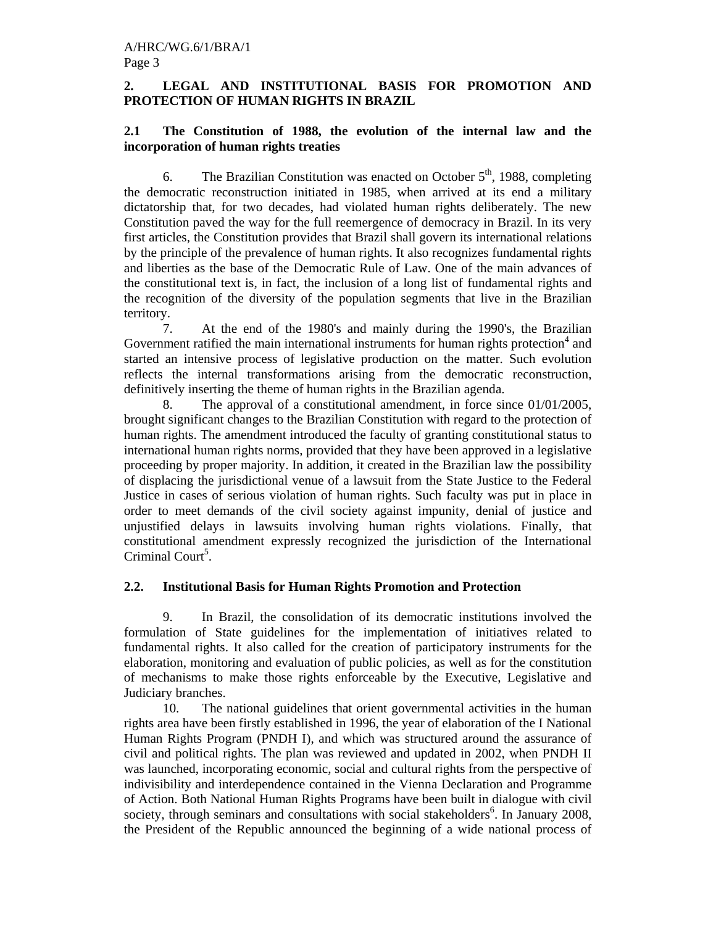# **2. LEGAL AND INSTITUTIONAL BASIS FOR PROMOTION AND PROTECTION OF HUMAN RIGHTS IN BRAZIL**

# **2.1 The Constitution of 1988, the evolution of the internal law and the incorporation of human rights treaties**

6. The Brazilian Constitution was enacted on October  $5<sup>th</sup>$ , 1988, completing the democratic reconstruction initiated in 1985, when arrived at its end a military dictatorship that, for two decades, had violated human rights deliberately. The new Constitution paved the way for the full reemergence of democracy in Brazil. In its very first articles, the Constitution provides that Brazil shall govern its international relations by the principle of the prevalence of human rights. It also recognizes fundamental rights and liberties as the base of the Democratic Rule of Law. One of the main advances of the constitutional text is, in fact, the inclusion of a long list of fundamental rights and the recognition of the diversity of the population segments that live in the Brazilian territory.

7. At the end of the 1980's and mainly during the 1990's, the Brazilian Government ratified the main international instruments for human rights protection $4$  and started an intensive process of legislative production on the matter. Such evolution reflects the internal transformations arising from the democratic reconstruction, definitively inserting the theme of human rights in the Brazilian agenda.

8. The approval of a constitutional amendment, in force since 01/01/2005, brought significant changes to the Brazilian Constitution with regard to the protection of human rights. The amendment introduced the faculty of granting constitutional status to international human rights norms, provided that they have been approved in a legislative proceeding by proper majority. In addition, it created in the Brazilian law the possibility of displacing the jurisdictional venue of a lawsuit from the State Justice to the Federal Justice in cases of serious violation of human rights. Such faculty was put in place in order to meet demands of the civil society against impunity, denial of justice and unjustified delays in lawsuits involving human rights violations. Finally, that constitutional amendment expressly recognized the jurisdiction of the International Criminal Court<sup>5</sup>.

# **2.2. Institutional Basis for Human Rights Promotion and Protection**

9. In Brazil, the consolidation of its democratic institutions involved the formulation of State guidelines for the implementation of initiatives related to fundamental rights. It also called for the creation of participatory instruments for the elaboration, monitoring and evaluation of public policies, as well as for the constitution of mechanisms to make those rights enforceable by the Executive, Legislative and Judiciary branches.

 10. The national guidelines that orient governmental activities in the human rights area have been firstly established in 1996, the year of elaboration of the I National Human Rights Program (PNDH I), and which was structured around the assurance of civil and political rights. The plan was reviewed and updated in 2002, when PNDH II was launched, incorporating economic, social and cultural rights from the perspective of indivisibility and interdependence contained in the Vienna Declaration and Programme of Action. Both National Human Rights Programs have been built in dialogue with civil society, through seminars and consultations with social stakeholders<sup>6</sup>. In January 2008, the President of the Republic announced the beginning of a wide national process of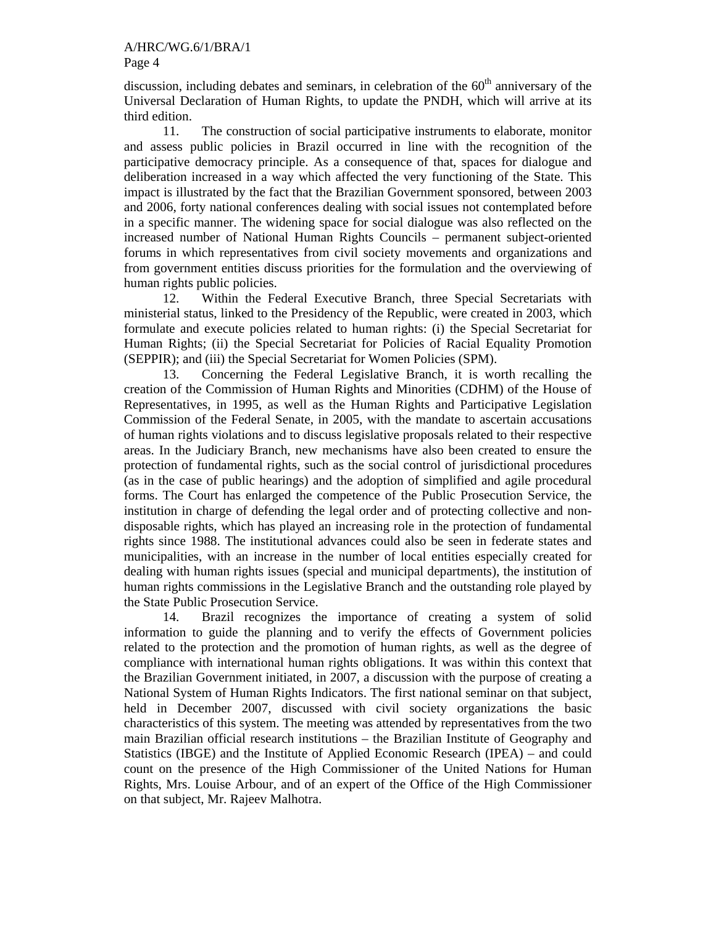discussion, including debates and seminars, in celebration of the  $60<sup>th</sup>$  anniversary of the Universal Declaration of Human Rights, to update the PNDH, which will arrive at its third edition.

11. The construction of social participative instruments to elaborate, monitor and assess public policies in Brazil occurred in line with the recognition of the participative democracy principle. As a consequence of that, spaces for dialogue and deliberation increased in a way which affected the very functioning of the State. This impact is illustrated by the fact that the Brazilian Government sponsored, between 2003 and 2006, forty national conferences dealing with social issues not contemplated before in a specific manner. The widening space for social dialogue was also reflected on the increased number of National Human Rights Councils – permanent subject-oriented forums in which representatives from civil society movements and organizations and from government entities discuss priorities for the formulation and the overviewing of human rights public policies.

12. Within the Federal Executive Branch, three Special Secretariats with ministerial status, linked to the Presidency of the Republic, were created in 2003, which formulate and execute policies related to human rights: (i) the Special Secretariat for Human Rights; (ii) the Special Secretariat for Policies of Racial Equality Promotion (SEPPIR); and (iii) the Special Secretariat for Women Policies (SPM).

13. Concerning the Federal Legislative Branch, it is worth recalling the creation of the Commission of Human Rights and Minorities (CDHM) of the House of Representatives, in 1995, as well as the Human Rights and Participative Legislation Commission of the Federal Senate, in 2005, with the mandate to ascertain accusations of human rights violations and to discuss legislative proposals related to their respective areas. In the Judiciary Branch, new mechanisms have also been created to ensure the protection of fundamental rights, such as the social control of jurisdictional procedures (as in the case of public hearings) and the adoption of simplified and agile procedural forms. The Court has enlarged the competence of the Public Prosecution Service, the institution in charge of defending the legal order and of protecting collective and nondisposable rights, which has played an increasing role in the protection of fundamental rights since 1988. The institutional advances could also be seen in federate states and municipalities, with an increase in the number of local entities especially created for dealing with human rights issues (special and municipal departments), the institution of human rights commissions in the Legislative Branch and the outstanding role played by the State Public Prosecution Service.

14. Brazil recognizes the importance of creating a system of solid information to guide the planning and to verify the effects of Government policies related to the protection and the promotion of human rights, as well as the degree of compliance with international human rights obligations. It was within this context that the Brazilian Government initiated, in 2007, a discussion with the purpose of creating a National System of Human Rights Indicators. The first national seminar on that subject, held in December 2007, discussed with civil society organizations the basic characteristics of this system. The meeting was attended by representatives from the two main Brazilian official research institutions – the Brazilian Institute of Geography and Statistics (IBGE) and the Institute of Applied Economic Research (IPEA) – and could count on the presence of the High Commissioner of the United Nations for Human Rights, Mrs. Louise Arbour, and of an expert of the Office of the High Commissioner on that subject, Mr. Rajeev Malhotra.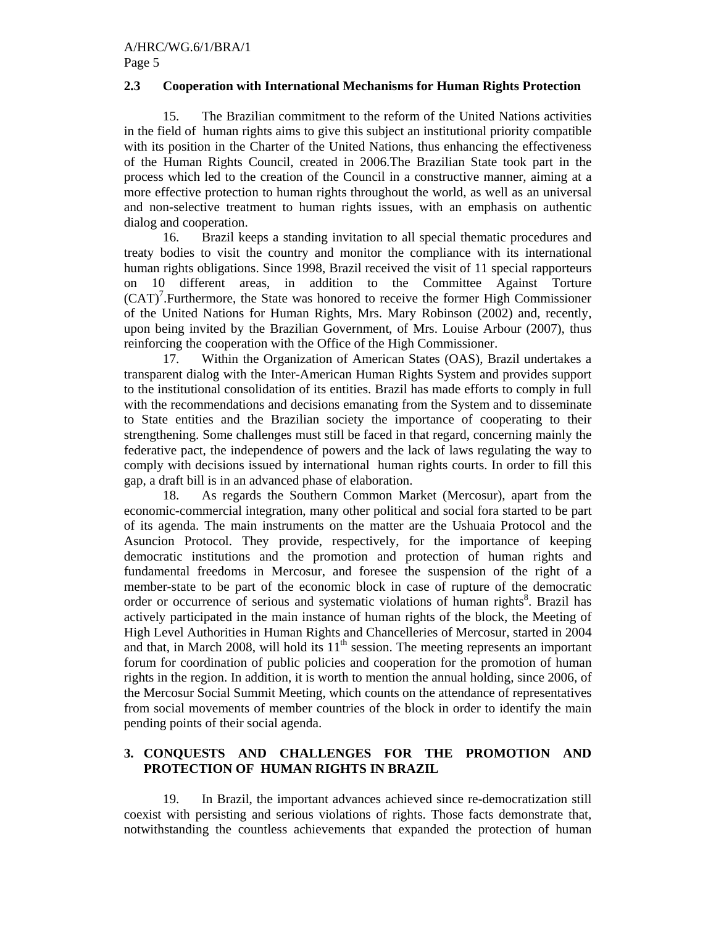## **2.3 Cooperation with International Mechanisms for Human Rights Protection**

15. The Brazilian commitment to the reform of the United Nations activities in the field of human rights aims to give this subject an institutional priority compatible with its position in the Charter of the United Nations, thus enhancing the effectiveness of the Human Rights Council, created in 2006.The Brazilian State took part in the process which led to the creation of the Council in a constructive manner, aiming at a more effective protection to human rights throughout the world, as well as an universal and non-selective treatment to human rights issues, with an emphasis on authentic dialog and cooperation.

16. Brazil keeps a standing invitation to all special thematic procedures and treaty bodies to visit the country and monitor the compliance with its international human rights obligations. Since 1998, Brazil received the visit of 11 special rapporteurs on 10 different areas, in addition to the Committee Against Torture  $(CAT)^7$ . Furthermore, the State was honored to receive the former High Commissioner of the United Nations for Human Rights, Mrs. Mary Robinson (2002) and, recently, upon being invited by the Brazilian Government, of Mrs. Louise Arbour (2007), thus reinforcing the cooperation with the Office of the High Commissioner.

17. Within the Organization of American States (OAS), Brazil undertakes a transparent dialog with the Inter-American Human Rights System and provides support to the institutional consolidation of its entities. Brazil has made efforts to comply in full with the recommendations and decisions emanating from the System and to disseminate to State entities and the Brazilian society the importance of cooperating to their strengthening. Some challenges must still be faced in that regard, concerning mainly the federative pact, the independence of powers and the lack of laws regulating the way to comply with decisions issued by international human rights courts. In order to fill this gap, a draft bill is in an advanced phase of elaboration.

18. As regards the Southern Common Market (Mercosur), apart from the economic-commercial integration, many other political and social fora started to be part of its agenda. The main instruments on the matter are the Ushuaia Protocol and the Asuncion Protocol. They provide, respectively, for the importance of keeping democratic institutions and the promotion and protection of human rights and fundamental freedoms in Mercosur, and foresee the suspension of the right of a member-state to be part of the economic block in case of rupture of the democratic order or occurrence of serious and systematic violations of human rights<sup>8</sup>. Brazil has actively participated in the main instance of human rights of the block, the Meeting of High Level Authorities in Human Rights and Chancelleries of Mercosur, started in 2004 and that, in March 2008, will hold its  $11<sup>th</sup>$  session. The meeting represents an important forum for coordination of public policies and cooperation for the promotion of human rights in the region. In addition, it is worth to mention the annual holding, since 2006, of the Mercosur Social Summit Meeting, which counts on the attendance of representatives from social movements of member countries of the block in order to identify the main pending points of their social agenda.

# **3. CONQUESTS AND CHALLENGES FOR THE PROMOTION AND PROTECTION OF HUMAN RIGHTS IN BRAZIL**

19. In Brazil, the important advances achieved since re-democratization still coexist with persisting and serious violations of rights. Those facts demonstrate that, notwithstanding the countless achievements that expanded the protection of human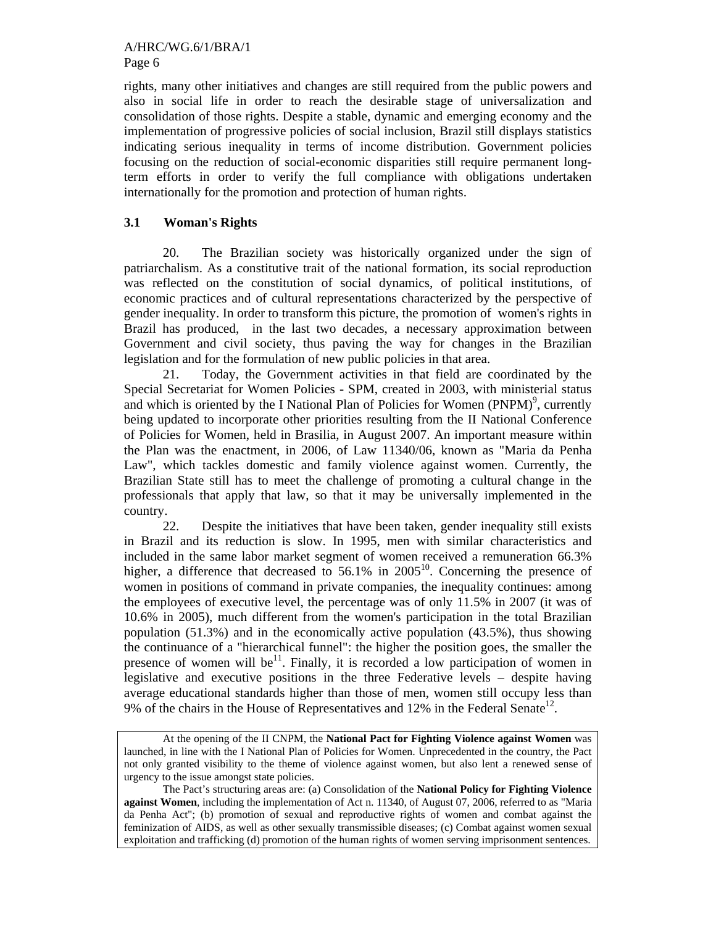rights, many other initiatives and changes are still required from the public powers and also in social life in order to reach the desirable stage of universalization and consolidation of those rights. Despite a stable, dynamic and emerging economy and the implementation of progressive policies of social inclusion, Brazil still displays statistics indicating serious inequality in terms of income distribution. Government policies focusing on the reduction of social-economic disparities still require permanent longterm efforts in order to verify the full compliance with obligations undertaken internationally for the promotion and protection of human rights.

# **3.1 Woman's Rights**

20. The Brazilian society was historically organized under the sign of patriarchalism. As a constitutive trait of the national formation, its social reproduction was reflected on the constitution of social dynamics, of political institutions, of economic practices and of cultural representations characterized by the perspective of gender inequality. In order to transform this picture, the promotion of women's rights in Brazil has produced, in the last two decades, a necessary approximation between Government and civil society, thus paving the way for changes in the Brazilian legislation and for the formulation of new public policies in that area.

21. Today, the Government activities in that field are coordinated by the Special Secretariat for Women Policies - SPM, created in 2003, with ministerial status and which is oriented by the I National Plan of Policies for Women  $(PNPM)$ <sup>9</sup>, currently being updated to incorporate other priorities resulting from the II National Conference of Policies for Women, held in Brasilia, in August 2007. An important measure within the Plan was the enactment, in 2006, of Law 11340/06, known as "Maria da Penha Law", which tackles domestic and family violence against women. Currently, the Brazilian State still has to meet the challenge of promoting a cultural change in the professionals that apply that law, so that it may be universally implemented in the country.

22. Despite the initiatives that have been taken, gender inequality still exists in Brazil and its reduction is slow. In 1995, men with similar characteristics and included in the same labor market segment of women received a remuneration 66.3% higher, a difference that decreased to  $56.1\%$  in  $2005^{10}$ . Concerning the presence of women in positions of command in private companies, the inequality continues: among the employees of executive level, the percentage was of only 11.5% in 2007 (it was of 10.6% in 2005), much different from the women's participation in the total Brazilian population (51.3%) and in the economically active population (43.5%), thus showing the continuance of a "hierarchical funnel": the higher the position goes, the smaller the presence of women will be<sup>11</sup>. Finally, it is recorded a low participation of women in legislative and executive positions in the three Federative levels – despite having average educational standards higher than those of men, women still occupy less than 9% of the chairs in the House of Representatives and 12% in the Federal Senate<sup>12</sup>.

At the opening of the II CNPM, the **National Pact for Fighting Violence against Women** was launched, in line with the I National Plan of Policies for Women. Unprecedented in the country, the Pact not only granted visibility to the theme of violence against women, but also lent a renewed sense of urgency to the issue amongst state policies.

The Pact's structuring areas are: (a) Consolidation of the **National Policy for Fighting Violence against Women**, including the implementation of Act n. 11340, of August 07, 2006, referred to as "Maria" da Penha Act"; (b) promotion of sexual and reproductive rights of women and combat against the feminization of AIDS, as well as other sexually transmissible diseases; (c) Combat against women sexual exploitation and trafficking (d) promotion of the human rights of women serving imprisonment sentences.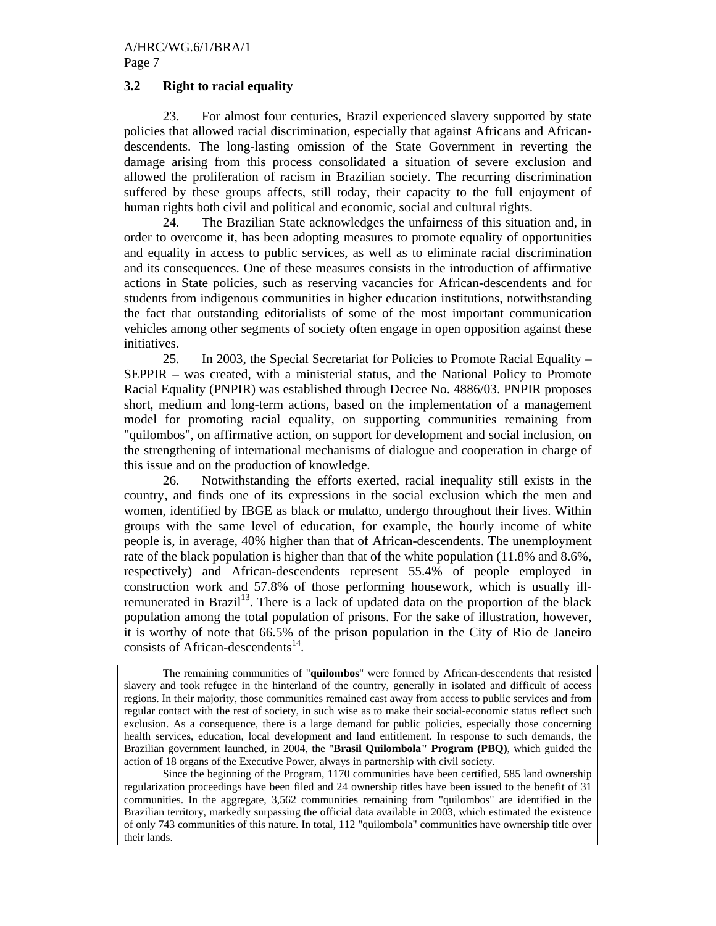# **3.2 Right to racial equality**

23. For almost four centuries, Brazil experienced slavery supported by state policies that allowed racial discrimination, especially that against Africans and Africandescendents. The long-lasting omission of the State Government in reverting the damage arising from this process consolidated a situation of severe exclusion and allowed the proliferation of racism in Brazilian society. The recurring discrimination suffered by these groups affects, still today, their capacity to the full enjoyment of human rights both civil and political and economic, social and cultural rights.

24. The Brazilian State acknowledges the unfairness of this situation and, in order to overcome it, has been adopting measures to promote equality of opportunities and equality in access to public services, as well as to eliminate racial discrimination and its consequences. One of these measures consists in the introduction of affirmative actions in State policies, such as reserving vacancies for African-descendents and for students from indigenous communities in higher education institutions, notwithstanding the fact that outstanding editorialists of some of the most important communication vehicles among other segments of society often engage in open opposition against these initiatives.

25. In 2003, the Special Secretariat for Policies to Promote Racial Equality – SEPPIR – was created, with a ministerial status, and the National Policy to Promote Racial Equality (PNPIR) was established through Decree No. 4886/03. PNPIR proposes short, medium and long-term actions, based on the implementation of a management model for promoting racial equality, on supporting communities remaining from "quilombos", on affirmative action, on support for development and social inclusion, on the strengthening of international mechanisms of dialogue and cooperation in charge of this issue and on the production of knowledge.

26. Notwithstanding the efforts exerted, racial inequality still exists in the country, and finds one of its expressions in the social exclusion which the men and women, identified by IBGE as black or mulatto, undergo throughout their lives. Within groups with the same level of education, for example, the hourly income of white people is, in average, 40% higher than that of African-descendents. The unemployment rate of the black population is higher than that of the white population (11.8% and 8.6%, respectively) and African-descendents represent 55.4% of people employed in construction work and 57.8% of those performing housework, which is usually illremunerated in Brazil<sup>13</sup>. There is a lack of updated data on the proportion of the black population among the total population of prisons. For the sake of illustration, however, it is worthy of note that 66.5% of the prison population in the City of Rio de Janeiro consists of African-descendents $^{14}$ .

 Since the beginning of the Program, 1170 communities have been certified, 585 land ownership regularization proceedings have been filed and 24 ownership titles have been issued to the benefit of 31 communities. In the aggregate, 3,562 communities remaining from "quilombos" are identified in the Brazilian territory, markedly surpassing the official data available in 2003, which estimated the existence of only 743 communities of this nature. In total, 112 "quilombola" communities have ownership title over their lands.

The remaining communities of "**quilombos**" were formed by African-descendents that resisted slavery and took refugee in the hinterland of the country, generally in isolated and difficult of access regions. In their majority, those communities remained cast away from access to public services and from regular contact with the rest of society, in such wise as to make their social-economic status reflect such exclusion. As a consequence, there is a large demand for public policies, especially those concerning health services, education, local development and land entitlement. In response to such demands, the Brazilian government launched, in 2004, the "**Brasil Quilombola" Program (PBQ)**, which guided the action of 18 organs of the Executive Power, always in partnership with civil society.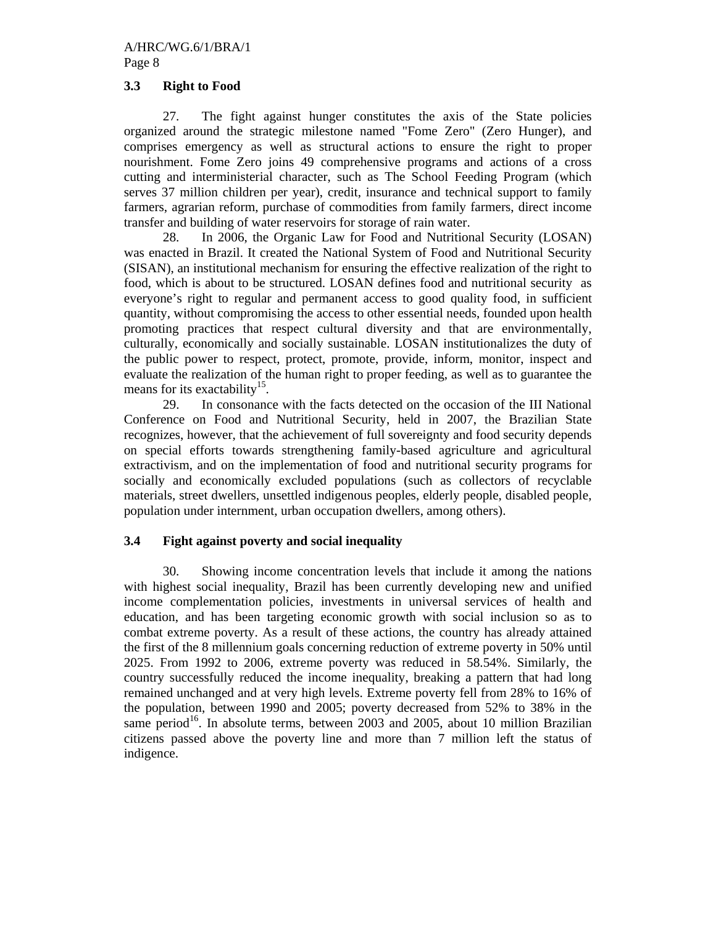# **3.3 Right to Food**

27. The fight against hunger constitutes the axis of the State policies organized around the strategic milestone named "Fome Zero" (Zero Hunger), and comprises emergency as well as structural actions to ensure the right to proper nourishment. Fome Zero joins 49 comprehensive programs and actions of a cross cutting and interministerial character, such as The School Feeding Program (which serves 37 million children per year), credit, insurance and technical support to family farmers, agrarian reform, purchase of commodities from family farmers, direct income transfer and building of water reservoirs for storage of rain water.

28. In 2006, the Organic Law for Food and Nutritional Security (LOSAN) was enacted in Brazil. It created the National System of Food and Nutritional Security (SISAN), an institutional mechanism for ensuring the effective realization of the right to food, which is about to be structured. LOSAN defines food and nutritional security as everyone's right to regular and permanent access to good quality food, in sufficient quantity, without compromising the access to other essential needs, founded upon health promoting practices that respect cultural diversity and that are environmentally, culturally, economically and socially sustainable. LOSAN institutionalizes the duty of the public power to respect, protect, promote, provide, inform, monitor, inspect and evaluate the realization of the human right to proper feeding, as well as to guarantee the means for its exactability<sup>15</sup>.

29. In consonance with the facts detected on the occasion of the III National Conference on Food and Nutritional Security, held in 2007, the Brazilian State recognizes, however, that the achievement of full sovereignty and food security depends on special efforts towards strengthening family-based agriculture and agricultural extractivism, and on the implementation of food and nutritional security programs for socially and economically excluded populations (such as collectors of recyclable materials, street dwellers, unsettled indigenous peoples, elderly people, disabled people, population under internment, urban occupation dwellers, among others).

# **3.4 Fight against poverty and social inequality**

30. Showing income concentration levels that include it among the nations with highest social inequality, Brazil has been currently developing new and unified income complementation policies, investments in universal services of health and education, and has been targeting economic growth with social inclusion so as to combat extreme poverty. As a result of these actions, the country has already attained the first of the 8 millennium goals concerning reduction of extreme poverty in 50% until 2025. From 1992 to 2006, extreme poverty was reduced in 58.54%. Similarly, the country successfully reduced the income inequality, breaking a pattern that had long remained unchanged and at very high levels. Extreme poverty fell from 28% to 16% of the population, between 1990 and 2005; poverty decreased from 52% to 38% in the same period<sup>16</sup>. In absolute terms, between 2003 and 2005, about 10 million Brazilian citizens passed above the poverty line and more than 7 million left the status of indigence.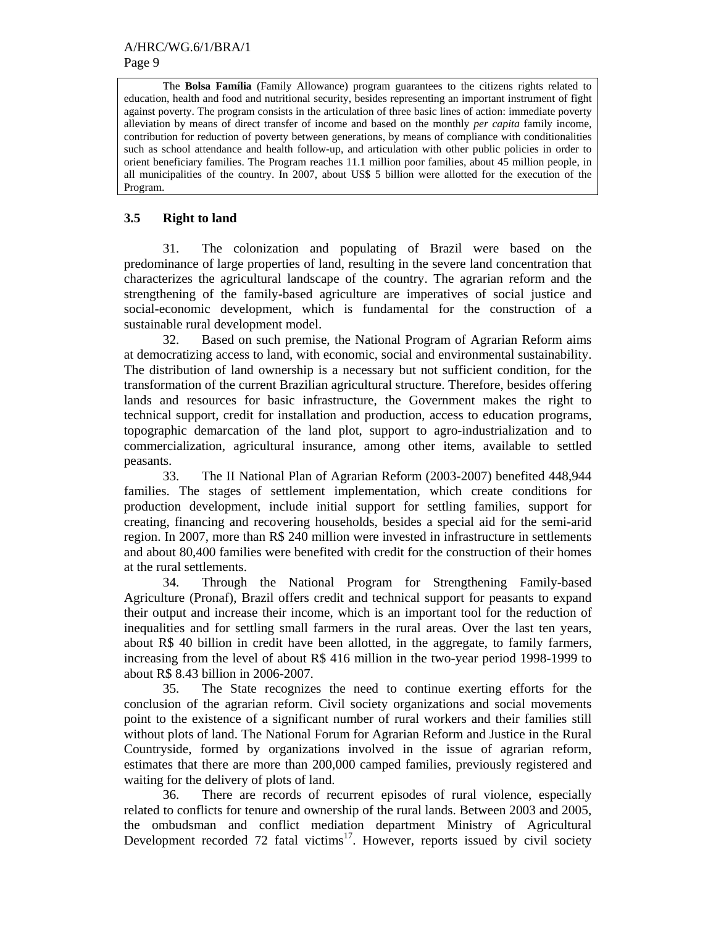The **Bolsa Família** (Family Allowance) program guarantees to the citizens rights related to education, health and food and nutritional security, besides representing an important instrument of fight against poverty. The program consists in the articulation of three basic lines of action: immediate poverty alleviation by means of direct transfer of income and based on the monthly *per capita* family income, contribution for reduction of poverty between generations, by means of compliance with conditionalities such as school attendance and health follow-up, and articulation with other public policies in order to orient beneficiary families. The Program reaches 11.1 million poor families, about 45 million people, in all municipalities of the country. In 2007, about US\$ 5 billion were allotted for the execution of the Program.

# **3.5 Right to land**

31. The colonization and populating of Brazil were based on the predominance of large properties of land, resulting in the severe land concentration that characterizes the agricultural landscape of the country. The agrarian reform and the strengthening of the family-based agriculture are imperatives of social justice and social-economic development, which is fundamental for the construction of a sustainable rural development model.

32. Based on such premise, the National Program of Agrarian Reform aims at democratizing access to land, with economic, social and environmental sustainability. The distribution of land ownership is a necessary but not sufficient condition, for the transformation of the current Brazilian agricultural structure. Therefore, besides offering lands and resources for basic infrastructure, the Government makes the right to technical support, credit for installation and production, access to education programs, topographic demarcation of the land plot, support to agro-industrialization and to commercialization, agricultural insurance, among other items, available to settled peasants.

33. The II National Plan of Agrarian Reform (2003-2007) benefited 448,944 families. The stages of settlement implementation, which create conditions for production development, include initial support for settling families, support for creating, financing and recovering households, besides a special aid for the semi-arid region. In 2007, more than R\$ 240 million were invested in infrastructure in settlements and about 80,400 families were benefited with credit for the construction of their homes at the rural settlements.

34. Through the National Program for Strengthening Family-based Agriculture (Pronaf), Brazil offers credit and technical support for peasants to expand their output and increase their income, which is an important tool for the reduction of inequalities and for settling small farmers in the rural areas. Over the last ten years, about R\$ 40 billion in credit have been allotted, in the aggregate, to family farmers, increasing from the level of about R\$ 416 million in the two-year period 1998-1999 to about R\$ 8.43 billion in 2006-2007.

35. The State recognizes the need to continue exerting efforts for the conclusion of the agrarian reform. Civil society organizations and social movements point to the existence of a significant number of rural workers and their families still without plots of land. The National Forum for Agrarian Reform and Justice in the Rural Countryside, formed by organizations involved in the issue of agrarian reform, estimates that there are more than 200,000 camped families, previously registered and waiting for the delivery of plots of land.

36. There are records of recurrent episodes of rural violence, especially related to conflicts for tenure and ownership of the rural lands. Between 2003 and 2005, the ombudsman and conflict mediation department Ministry of Agricultural Development recorded 72 fatal victims<sup>17</sup>. However, reports issued by civil society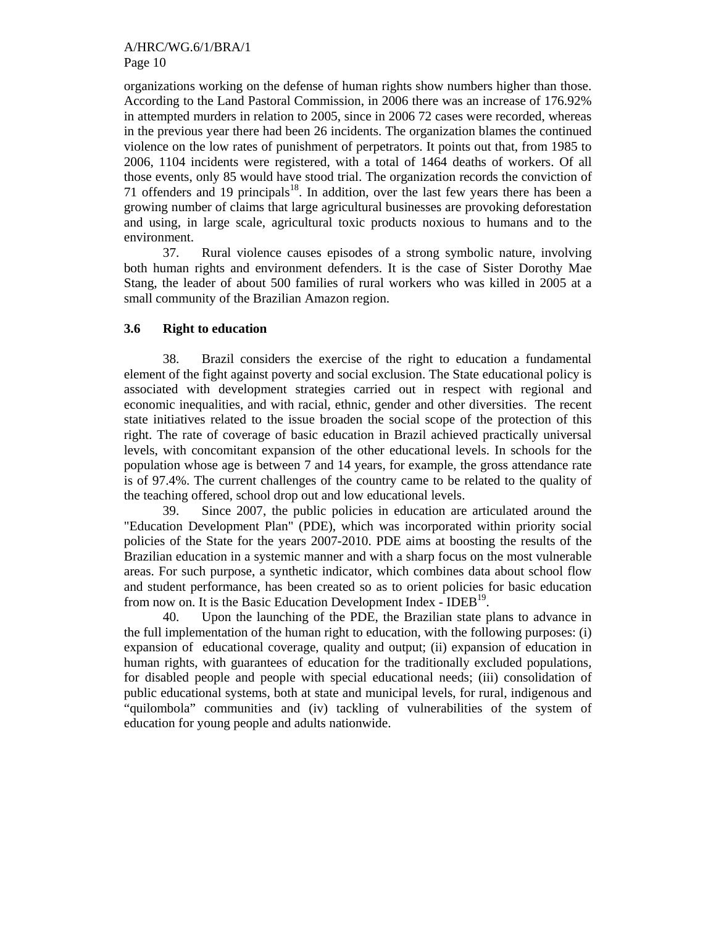organizations working on the defense of human rights show numbers higher than those. According to the Land Pastoral Commission, in 2006 there was an increase of 176.92% in attempted murders in relation to 2005, since in 2006 72 cases were recorded, whereas in the previous year there had been 26 incidents. The organization blames the continued violence on the low rates of punishment of perpetrators. It points out that, from 1985 to 2006, 1104 incidents were registered, with a total of 1464 deaths of workers. Of all those events, only 85 would have stood trial. The organization records the conviction of 71 offenders and 19 principals $18$ . In addition, over the last few years there has been a growing number of claims that large agricultural businesses are provoking deforestation and using, in large scale, agricultural toxic products noxious to humans and to the environment.

37. Rural violence causes episodes of a strong symbolic nature, involving both human rights and environment defenders. It is the case of Sister Dorothy Mae Stang, the leader of about 500 families of rural workers who was killed in 2005 at a small community of the Brazilian Amazon region.

# **3.6 Right to education**

38. Brazil considers the exercise of the right to education a fundamental element of the fight against poverty and social exclusion. The State educational policy is associated with development strategies carried out in respect with regional and economic inequalities, and with racial, ethnic, gender and other diversities. The recent state initiatives related to the issue broaden the social scope of the protection of this right. The rate of coverage of basic education in Brazil achieved practically universal levels, with concomitant expansion of the other educational levels. In schools for the population whose age is between 7 and 14 years, for example, the gross attendance rate is of 97.4%. The current challenges of the country came to be related to the quality of the teaching offered, school drop out and low educational levels.

39. Since 2007, the public policies in education are articulated around the "Education Development Plan" (PDE), which was incorporated within priority social policies of the State for the years 2007-2010. PDE aims at boosting the results of the Brazilian education in a systemic manner and with a sharp focus on the most vulnerable areas. For such purpose, a synthetic indicator, which combines data about school flow and student performance, has been created so as to orient policies for basic education from now on. It is the Basic Education Development Index -  $IDEB<sup>19</sup>$ .

40. Upon the launching of the PDE, the Brazilian state plans to advance in the full implementation of the human right to education, with the following purposes: (i) expansion of educational coverage, quality and output; (ii) expansion of education in human rights, with guarantees of education for the traditionally excluded populations, for disabled people and people with special educational needs; (iii) consolidation of public educational systems, both at state and municipal levels, for rural, indigenous and "quilombola" communities and (iv) tackling of vulnerabilities of the system of education for young people and adults nationwide.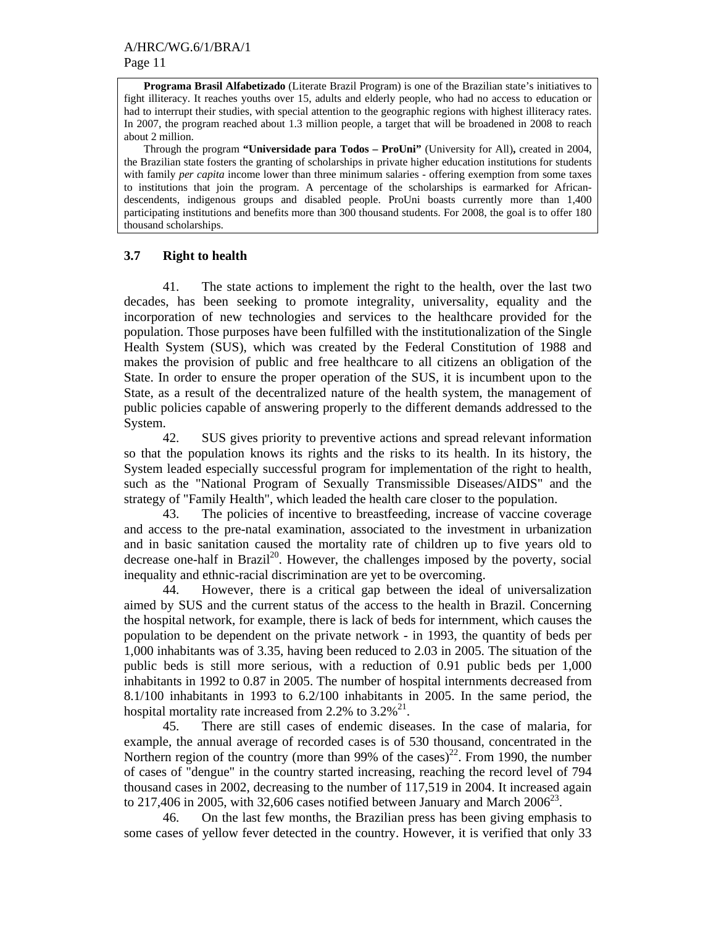**Programa Brasil Alfabetizado** (Literate Brazil Program) is one of the Brazilian state's initiatives to fight illiteracy. It reaches youths over 15, adults and elderly people, who had no access to education or had to interrupt their studies, with special attention to the geographic regions with highest illiteracy rates. In 2007, the program reached about 1.3 million people, a target that will be broadened in 2008 to reach about 2 million.

Through the program **"Universidade para Todos – ProUni"** (University for All)**,** created in 2004, the Brazilian state fosters the granting of scholarships in private higher education institutions for students with family *per capita* income lower than three minimum salaries - offering exemption from some taxes to institutions that join the program. A percentage of the scholarships is earmarked for Africandescendents, indigenous groups and disabled people. ProUni boasts currently more than 1,400 participating institutions and benefits more than 300 thousand students. For 2008, the goal is to offer 180 thousand scholarships.

#### **3.7 Right to health**

41. The state actions to implement the right to the health, over the last two decades, has been seeking to promote integrality, universality, equality and the incorporation of new technologies and services to the healthcare provided for the population. Those purposes have been fulfilled with the institutionalization of the Single Health System (SUS), which was created by the Federal Constitution of 1988 and makes the provision of public and free healthcare to all citizens an obligation of the State. In order to ensure the proper operation of the SUS, it is incumbent upon to the State, as a result of the decentralized nature of the health system, the management of public policies capable of answering properly to the different demands addressed to the System.

42. SUS gives priority to preventive actions and spread relevant information so that the population knows its rights and the risks to its health. In its history, the System leaded especially successful program for implementation of the right to health, such as the "National Program of Sexually Transmissible Diseases/AIDS" and the strategy of "Family Health", which leaded the health care closer to the population.

43. The policies of incentive to breastfeeding, increase of vaccine coverage and access to the pre-natal examination, associated to the investment in urbanization and in basic sanitation caused the mortality rate of children up to five years old to decrease one-half in Brazil<sup>20</sup>. However, the challenges imposed by the poverty, social inequality and ethnic-racial discrimination are yet to be overcoming.

44. However, there is a critical gap between the ideal of universalization aimed by SUS and the current status of the access to the health in Brazil. Concerning the hospital network, for example, there is lack of beds for internment, which causes the population to be dependent on the private network - in 1993, the quantity of beds per 1,000 inhabitants was of 3.35, having been reduced to 2.03 in 2005. The situation of the public beds is still more serious, with a reduction of 0.91 public beds per 1,000 inhabitants in 1992 to 0.87 in 2005. The number of hospital internments decreased from 8.1/100 inhabitants in 1993 to 6.2/100 inhabitants in 2005. In the same period, the hospital mortality rate increased from 2.2% to  $3.2\%$ <sup>21</sup>.

45. There are still cases of endemic diseases. In the case of malaria, for example, the annual average of recorded cases is of 530 thousand, concentrated in the Northern region of the country (more than 99% of the cases)<sup>22</sup>. From 1990, the number of cases of "dengue" in the country started increasing, reaching the record level of 794 thousand cases in 2002, decreasing to the number of 117,519 in 2004. It increased again to 217,406 in 2005, with 32,606 cases notified between January and March  $2006^{23}$ .

46. On the last few months, the Brazilian press has been giving emphasis to some cases of yellow fever detected in the country. However, it is verified that only 33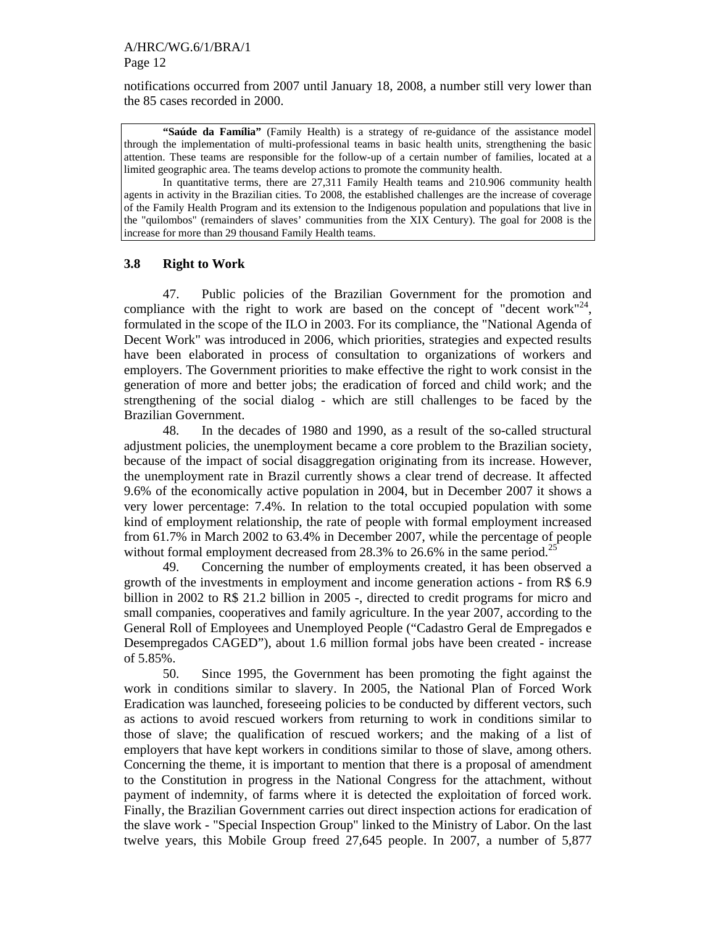notifications occurred from 2007 until January 18, 2008, a number still very lower than the 85 cases recorded in 2000.

**"Saúde da Família"** (Family Health) is a strategy of re-guidance of the assistance model through the implementation of multi-professional teams in basic health units, strengthening the basic attention. These teams are responsible for the follow-up of a certain number of families, located at a limited geographic area. The teams develop actions to promote the community health.

In quantitative terms, there are 27,311 Family Health teams and 210.906 community health agents in activity in the Brazilian cities. To 2008, the established challenges are the increase of coverage of the Family Health Program and its extension to the Indigenous population and populations that live in the "quilombos" (remainders of slaves' communities from the XIX Century). The goal for 2008 is the increase for more than 29 thousand Family Health teams.

# **3.8 Right to Work**

47. Public policies of the Brazilian Government for the promotion and compliance with the right to work are based on the concept of "decent work"<sup>24</sup>, formulated in the scope of the ILO in 2003. For its compliance, the "National Agenda of Decent Work" was introduced in 2006, which priorities, strategies and expected results have been elaborated in process of consultation to organizations of workers and employers. The Government priorities to make effective the right to work consist in the generation of more and better jobs; the eradication of forced and child work; and the strengthening of the social dialog - which are still challenges to be faced by the Brazilian Government.

48. In the decades of 1980 and 1990, as a result of the so-called structural adjustment policies, the unemployment became a core problem to the Brazilian society, because of the impact of social disaggregation originating from its increase. However, the unemployment rate in Brazil currently shows a clear trend of decrease. It affected 9.6% of the economically active population in 2004, but in December 2007 it shows a very lower percentage: 7.4%. In relation to the total occupied population with some kind of employment relationship, the rate of people with formal employment increased from 61.7% in March 2002 to 63.4% in December 2007, while the percentage of people without formal employment decreased from 28.3% to 26.6% in the same period.<sup>25</sup>

49. Concerning the number of employments created, it has been observed a growth of the investments in employment and income generation actions - from R\$ 6.9 billion in 2002 to R\$ 21.2 billion in 2005 -, directed to credit programs for micro and small companies, cooperatives and family agriculture. In the year 2007, according to the General Roll of Employees and Unemployed People ("Cadastro Geral de Empregados e Desempregados CAGED"), about 1.6 million formal jobs have been created - increase of 5.85%.

50. Since 1995, the Government has been promoting the fight against the work in conditions similar to slavery. In 2005, the National Plan of Forced Work Eradication was launched, foreseeing policies to be conducted by different vectors, such as actions to avoid rescued workers from returning to work in conditions similar to those of slave; the qualification of rescued workers; and the making of a list of employers that have kept workers in conditions similar to those of slave, among others. Concerning the theme, it is important to mention that there is a proposal of amendment to the Constitution in progress in the National Congress for the attachment, without payment of indemnity, of farms where it is detected the exploitation of forced work. Finally, the Brazilian Government carries out direct inspection actions for eradication of the slave work - "Special Inspection Group" linked to the Ministry of Labor. On the last twelve years, this Mobile Group freed 27,645 people. In 2007, a number of 5,877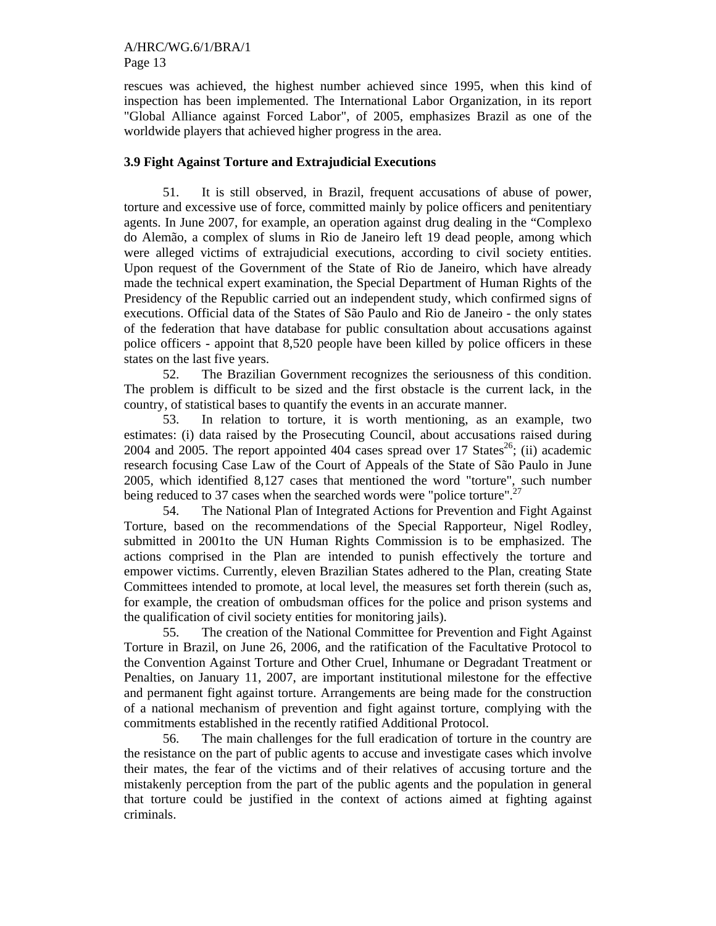rescues was achieved, the highest number achieved since 1995, when this kind of inspection has been implemented. The International Labor Organization, in its report "Global Alliance against Forced Labor", of 2005, emphasizes Brazil as one of the worldwide players that achieved higher progress in the area.

#### **3.9 Fight Against Torture and Extrajudicial Executions**

51. It is still observed, in Brazil, frequent accusations of abuse of power, torture and excessive use of force, committed mainly by police officers and penitentiary agents. In June 2007, for example, an operation against drug dealing in the "Complexo do Alemão, a complex of slums in Rio de Janeiro left 19 dead people, among which were alleged victims of extrajudicial executions, according to civil society entities. Upon request of the Government of the State of Rio de Janeiro, which have already made the technical expert examination, the Special Department of Human Rights of the Presidency of the Republic carried out an independent study, which confirmed signs of executions. Official data of the States of São Paulo and Rio de Janeiro - the only states of the federation that have database for public consultation about accusations against police officers - appoint that 8,520 people have been killed by police officers in these states on the last five years.

52. The Brazilian Government recognizes the seriousness of this condition. The problem is difficult to be sized and the first obstacle is the current lack, in the country, of statistical bases to quantify the events in an accurate manner.

53. In relation to torture, it is worth mentioning, as an example, two estimates: (i) data raised by the Prosecuting Council, about accusations raised during 2004 and 2005. The report appointed 404 cases spread over 17 States<sup>26</sup>; (ii) academic research focusing Case Law of the Court of Appeals of the State of São Paulo in June 2005, which identified 8,127 cases that mentioned the word "torture", such number being reduced to 37 cases when the searched words were "police torture".<sup>27</sup>

54. The National Plan of Integrated Actions for Prevention and Fight Against Torture, based on the recommendations of the Special Rapporteur, Nigel Rodley, submitted in 2001to the UN Human Rights Commission is to be emphasized. The actions comprised in the Plan are intended to punish effectively the torture and empower victims. Currently, eleven Brazilian States adhered to the Plan, creating State Committees intended to promote, at local level, the measures set forth therein (such as, for example, the creation of ombudsman offices for the police and prison systems and the qualification of civil society entities for monitoring jails).

55. The creation of the National Committee for Prevention and Fight Against Torture in Brazil, on June 26, 2006, and the ratification of the Facultative Protocol to the Convention Against Torture and Other Cruel, Inhumane or Degradant Treatment or Penalties, on January 11, 2007, are important institutional milestone for the effective and permanent fight against torture. Arrangements are being made for the construction of a national mechanism of prevention and fight against torture, complying with the commitments established in the recently ratified Additional Protocol.

56. The main challenges for the full eradication of torture in the country are the resistance on the part of public agents to accuse and investigate cases which involve their mates, the fear of the victims and of their relatives of accusing torture and the mistakenly perception from the part of the public agents and the population in general that torture could be justified in the context of actions aimed at fighting against criminals.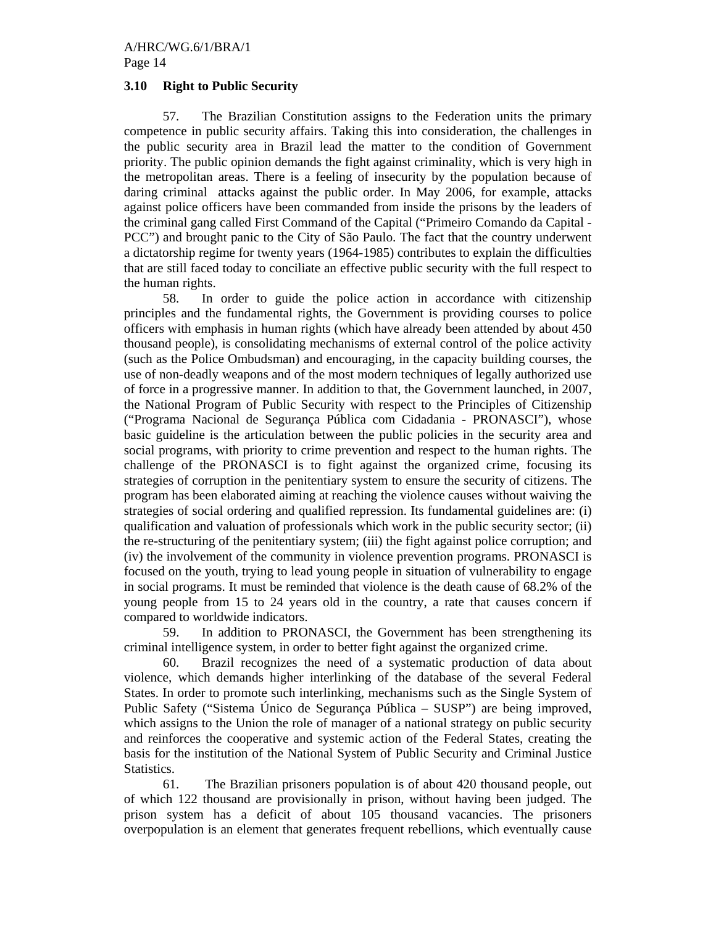#### **3.10 Right to Public Security**

 57. The Brazilian Constitution assigns to the Federation units the primary competence in public security affairs. Taking this into consideration, the challenges in the public security area in Brazil lead the matter to the condition of Government priority. The public opinion demands the fight against criminality, which is very high in the metropolitan areas. There is a feeling of insecurity by the population because of daring criminal attacks against the public order. In May 2006, for example, attacks against police officers have been commanded from inside the prisons by the leaders of the criminal gang called First Command of the Capital ("Primeiro Comando da Capital - PCC") and brought panic to the City of São Paulo. The fact that the country underwent a dictatorship regime for twenty years (1964-1985) contributes to explain the difficulties that are still faced today to conciliate an effective public security with the full respect to the human rights.

 58. In order to guide the police action in accordance with citizenship principles and the fundamental rights, the Government is providing courses to police officers with emphasis in human rights (which have already been attended by about 450 thousand people), is consolidating mechanisms of external control of the police activity (such as the Police Ombudsman) and encouraging, in the capacity building courses, the use of non-deadly weapons and of the most modern techniques of legally authorized use of force in a progressive manner. In addition to that, the Government launched, in 2007, the National Program of Public Security with respect to the Principles of Citizenship ("Programa Nacional de Segurança Pública com Cidadania - PRONASCI"), whose basic guideline is the articulation between the public policies in the security area and social programs, with priority to crime prevention and respect to the human rights. The challenge of the PRONASCI is to fight against the organized crime, focusing its strategies of corruption in the penitentiary system to ensure the security of citizens. The program has been elaborated aiming at reaching the violence causes without waiving the strategies of social ordering and qualified repression. Its fundamental guidelines are: (i) qualification and valuation of professionals which work in the public security sector; (ii) the re-structuring of the penitentiary system; (iii) the fight against police corruption; and (iv) the involvement of the community in violence prevention programs. PRONASCI is focused on the youth, trying to lead young people in situation of vulnerability to engage in social programs. It must be reminded that violence is the death cause of 68.2% of the young people from 15 to 24 years old in the country, a rate that causes concern if compared to worldwide indicators.

 59. In addition to PRONASCI, the Government has been strengthening its criminal intelligence system, in order to better fight against the organized crime.

 60. Brazil recognizes the need of a systematic production of data about violence, which demands higher interlinking of the database of the several Federal States. In order to promote such interlinking, mechanisms such as the Single System of Public Safety ("Sistema Único de Segurança Pública – SUSP") are being improved, which assigns to the Union the role of manager of a national strategy on public security and reinforces the cooperative and systemic action of the Federal States, creating the basis for the institution of the National System of Public Security and Criminal Justice Statistics.

 61. The Brazilian prisoners population is of about 420 thousand people, out of which 122 thousand are provisionally in prison, without having been judged. The prison system has a deficit of about 105 thousand vacancies. The prisoners overpopulation is an element that generates frequent rebellions, which eventually cause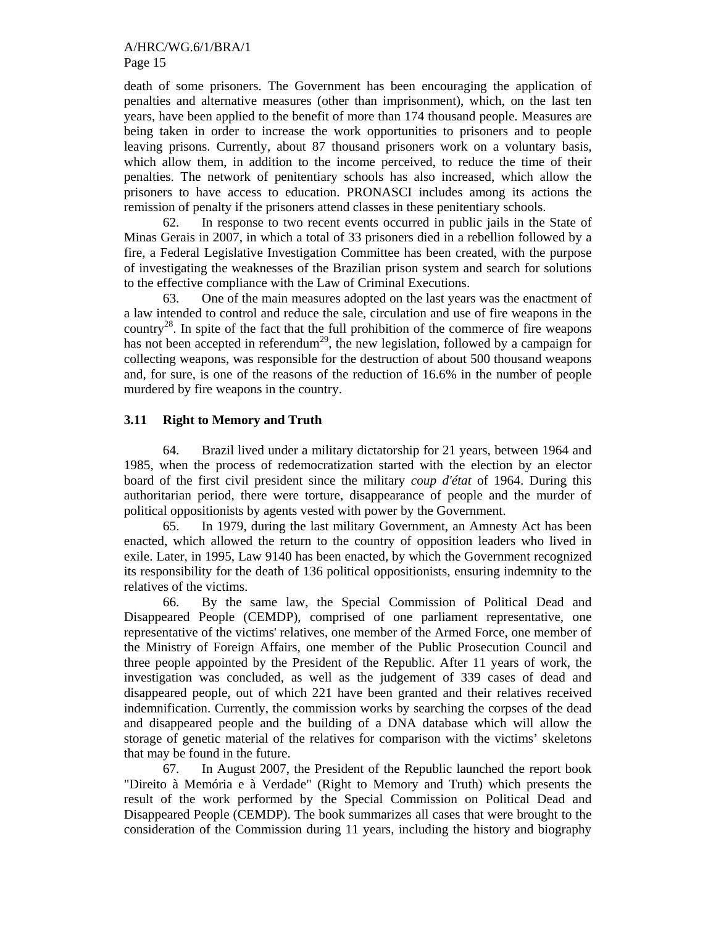death of some prisoners. The Government has been encouraging the application of penalties and alternative measures (other than imprisonment), which, on the last ten years, have been applied to the benefit of more than 174 thousand people. Measures are being taken in order to increase the work opportunities to prisoners and to people leaving prisons. Currently, about 87 thousand prisoners work on a voluntary basis, which allow them, in addition to the income perceived, to reduce the time of their penalties. The network of penitentiary schools has also increased, which allow the prisoners to have access to education. PRONASCI includes among its actions the remission of penalty if the prisoners attend classes in these penitentiary schools.

 62. In response to two recent events occurred in public jails in the State of Minas Gerais in 2007, in which a total of 33 prisoners died in a rebellion followed by a fire, a Federal Legislative Investigation Committee has been created, with the purpose of investigating the weaknesses of the Brazilian prison system and search for solutions to the effective compliance with the Law of Criminal Executions.

 63. One of the main measures adopted on the last years was the enactment of a law intended to control and reduce the sale, circulation and use of fire weapons in the country<sup>28</sup>. In spite of the fact that the full prohibition of the commerce of fire weapons has not been accepted in referendum<sup>29</sup>, the new legislation, followed by a campaign for collecting weapons, was responsible for the destruction of about 500 thousand weapons and, for sure, is one of the reasons of the reduction of 16.6% in the number of people murdered by fire weapons in the country.

# **3.11 Right to Memory and Truth**

64. Brazil lived under a military dictatorship for 21 years, between 1964 and 1985, when the process of redemocratization started with the election by an elector board of the first civil president since the military *coup d'état* of 1964. During this authoritarian period, there were torture, disappearance of people and the murder of political oppositionists by agents vested with power by the Government.

65. In 1979, during the last military Government, an Amnesty Act has been enacted, which allowed the return to the country of opposition leaders who lived in exile. Later, in 1995, Law 9140 has been enacted, by which the Government recognized its responsibility for the death of 136 political oppositionists, ensuring indemnity to the relatives of the victims.

66. By the same law, the Special Commission of Political Dead and Disappeared People (CEMDP), comprised of one parliament representative, one representative of the victims' relatives, one member of the Armed Force, one member of the Ministry of Foreign Affairs, one member of the Public Prosecution Council and three people appointed by the President of the Republic. After 11 years of work, the investigation was concluded, as well as the judgement of 339 cases of dead and disappeared people, out of which 221 have been granted and their relatives received indemnification. Currently, the commission works by searching the corpses of the dead and disappeared people and the building of a DNA database which will allow the storage of genetic material of the relatives for comparison with the victims' skeletons that may be found in the future.

67. In August 2007, the President of the Republic launched the report book "Direito à Memória e à Verdade" (Right to Memory and Truth) which presents the result of the work performed by the Special Commission on Political Dead and Disappeared People (CEMDP). The book summarizes all cases that were brought to the consideration of the Commission during 11 years, including the history and biography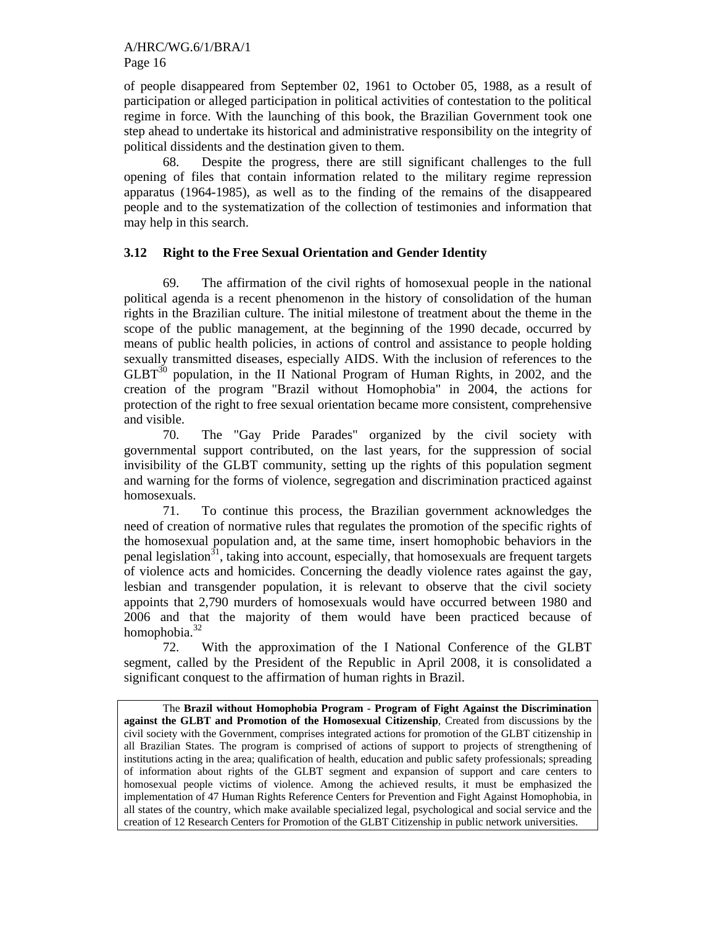of people disappeared from September 02, 1961 to October 05, 1988, as a result of participation or alleged participation in political activities of contestation to the political regime in force. With the launching of this book, the Brazilian Government took one step ahead to undertake its historical and administrative responsibility on the integrity of political dissidents and the destination given to them.

68. Despite the progress, there are still significant challenges to the full opening of files that contain information related to the military regime repression apparatus (1964-1985), as well as to the finding of the remains of the disappeared people and to the systematization of the collection of testimonies and information that may help in this search.

# **3.12 Right to the Free Sexual Orientation and Gender Identity**

69. The affirmation of the civil rights of homosexual people in the national political agenda is a recent phenomenon in the history of consolidation of the human rights in the Brazilian culture. The initial milestone of treatment about the theme in the scope of the public management, at the beginning of the 1990 decade, occurred by means of public health policies, in actions of control and assistance to people holding sexually transmitted diseases, especially AIDS. With the inclusion of references to the  $GLBT<sup>30</sup>$  population, in the II National Program of Human Rights, in 2002, and the creation of the program "Brazil without Homophobia" in 2004, the actions for protection of the right to free sexual orientation became more consistent, comprehensive and visible.

70. The "Gay Pride Parades" organized by the civil society with governmental support contributed, on the last years, for the suppression of social invisibility of the GLBT community, setting up the rights of this population segment and warning for the forms of violence, segregation and discrimination practiced against homosexuals.

71. To continue this process, the Brazilian government acknowledges the need of creation of normative rules that regulates the promotion of the specific rights of the homosexual population and, at the same time, insert homophobic behaviors in the penal legislation<sup>31</sup>, taking into account, especially, that homosexuals are frequent targets of violence acts and homicides. Concerning the deadly violence rates against the gay, lesbian and transgender population, it is relevant to observe that the civil society appoints that 2,790 murders of homosexuals would have occurred between 1980 and 2006 and that the majority of them would have been practiced because of homophobia.<sup>32</sup>

72. With the approximation of the I National Conference of the GLBT segment, called by the President of the Republic in April 2008, it is consolidated a significant conquest to the affirmation of human rights in Brazil.

The **Brazil without Homophobia Program - Program of Fight Against the Discrimination against the GLBT and Promotion of the Homosexual Citizenship**, Created from discussions by the civil society with the Government, comprises integrated actions for promotion of the GLBT citizenship in all Brazilian States. The program is comprised of actions of support to projects of strengthening of institutions acting in the area; qualification of health, education and public safety professionals; spreading of information about rights of the GLBT segment and expansion of support and care centers to homosexual people victims of violence. Among the achieved results, it must be emphasized the implementation of 47 Human Rights Reference Centers for Prevention and Fight Against Homophobia, in all states of the country, which make available specialized legal, psychological and social service and the creation of 12 Research Centers for Promotion of the GLBT Citizenship in public network universities.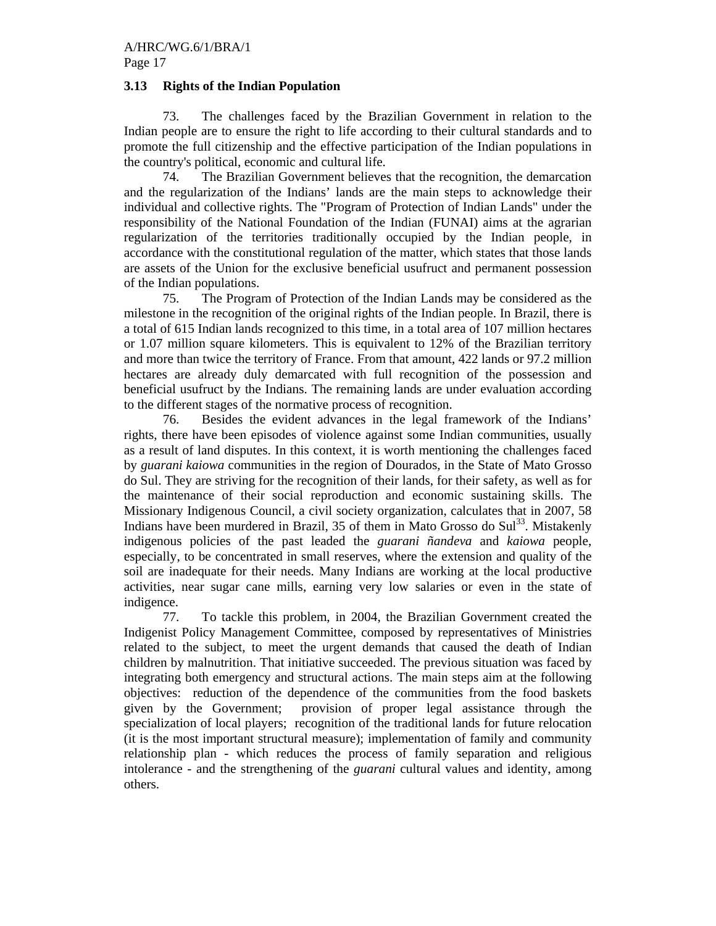# Page 17

# **3.13 Rights of the Indian Population**

73. The challenges faced by the Brazilian Government in relation to the Indian people are to ensure the right to life according to their cultural standards and to promote the full citizenship and the effective participation of the Indian populations in the country's political, economic and cultural life.

74. The Brazilian Government believes that the recognition, the demarcation and the regularization of the Indians' lands are the main steps to acknowledge their individual and collective rights. The "Program of Protection of Indian Lands" under the responsibility of the National Foundation of the Indian (FUNAI) aims at the agrarian regularization of the territories traditionally occupied by the Indian people, in accordance with the constitutional regulation of the matter, which states that those lands are assets of the Union for the exclusive beneficial usufruct and permanent possession of the Indian populations.

75. The Program of Protection of the Indian Lands may be considered as the milestone in the recognition of the original rights of the Indian people. In Brazil, there is a total of 615 Indian lands recognized to this time, in a total area of 107 million hectares or 1.07 million square kilometers. This is equivalent to 12% of the Brazilian territory and more than twice the territory of France. From that amount, 422 lands or 97.2 million hectares are already duly demarcated with full recognition of the possession and beneficial usufruct by the Indians. The remaining lands are under evaluation according to the different stages of the normative process of recognition.

76. Besides the evident advances in the legal framework of the Indians' rights, there have been episodes of violence against some Indian communities, usually as a result of land disputes. In this context, it is worth mentioning the challenges faced by *guarani kaiowa* communities in the region of Dourados, in the State of Mato Grosso do Sul. They are striving for the recognition of their lands, for their safety, as well as for the maintenance of their social reproduction and economic sustaining skills. The Missionary Indigenous Council, a civil society organization, calculates that in 2007, 58 Indians have been murdered in Brazil, 35 of them in Mato Grosso do  $\text{Sul}^{33}$ . Mistakenly indigenous policies of the past leaded the *guarani ñandeva* and *kaiowa* people, especially, to be concentrated in small reserves, where the extension and quality of the soil are inadequate for their needs. Many Indians are working at the local productive activities, near sugar cane mills, earning very low salaries or even in the state of indigence.

77. To tackle this problem, in 2004, the Brazilian Government created the Indigenist Policy Management Committee, composed by representatives of Ministries related to the subject, to meet the urgent demands that caused the death of Indian children by malnutrition. That initiative succeeded. The previous situation was faced by integrating both emergency and structural actions. The main steps aim at the following objectives: reduction of the dependence of the communities from the food baskets given by the Government; provision of proper legal assistance through the specialization of local players; recognition of the traditional lands for future relocation (it is the most important structural measure); implementation of family and community relationship plan - which reduces the process of family separation and religious intolerance - and the strengthening of the *guarani* cultural values and identity, among others.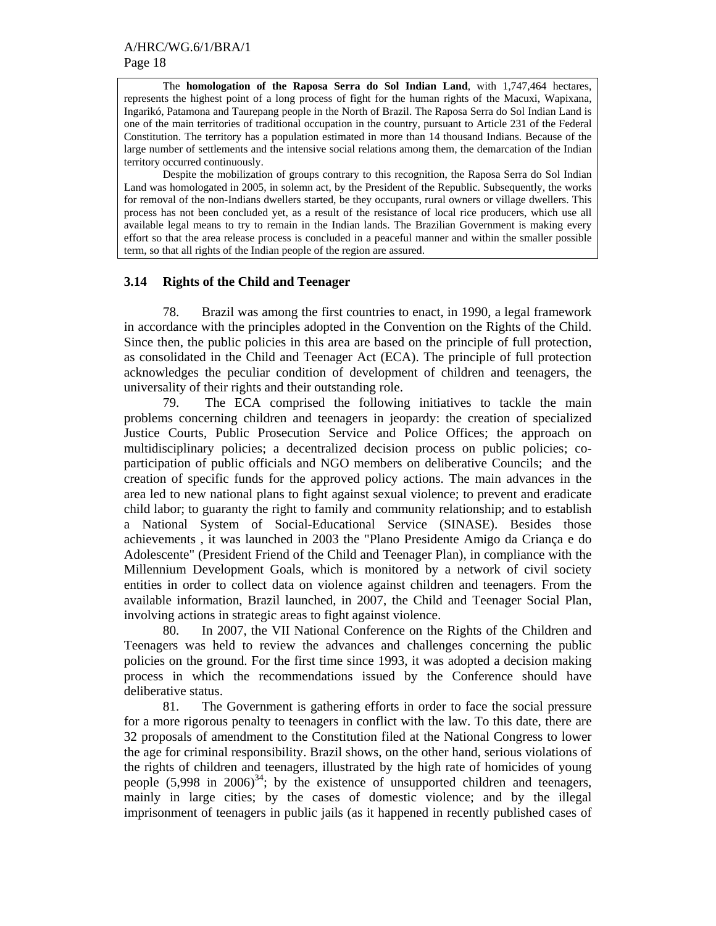The **homologation of the Raposa Serra do Sol Indian Land**, with 1,747,464 hectares, represents the highest point of a long process of fight for the human rights of the Macuxi, Wapixana, Ingarikó, Patamona and Taurepang people in the North of Brazil. The Raposa Serra do Sol Indian Land is one of the main territories of traditional occupation in the country, pursuant to Article 231 of the Federal Constitution. The territory has a population estimated in more than 14 thousand Indians. Because of the large number of settlements and the intensive social relations among them, the demarcation of the Indian territory occurred continuously.

 Despite the mobilization of groups contrary to this recognition, the Raposa Serra do Sol Indian Land was homologated in 2005, in solemn act, by the President of the Republic. Subsequently, the works for removal of the non-Indians dwellers started, be they occupants, rural owners or village dwellers. This process has not been concluded yet, as a result of the resistance of local rice producers, which use all available legal means to try to remain in the Indian lands. The Brazilian Government is making every effort so that the area release process is concluded in a peaceful manner and within the smaller possible term, so that all rights of the Indian people of the region are assured.

#### **3.14 Rights of the Child and Teenager**

78. Brazil was among the first countries to enact, in 1990, a legal framework in accordance with the principles adopted in the Convention on the Rights of the Child. Since then, the public policies in this area are based on the principle of full protection, as consolidated in the Child and Teenager Act (ECA). The principle of full protection acknowledges the peculiar condition of development of children and teenagers, the universality of their rights and their outstanding role.

79. The ECA comprised the following initiatives to tackle the main problems concerning children and teenagers in jeopardy: the creation of specialized Justice Courts, Public Prosecution Service and Police Offices; the approach on multidisciplinary policies; a decentralized decision process on public policies; coparticipation of public officials and NGO members on deliberative Councils; and the creation of specific funds for the approved policy actions. The main advances in the area led to new national plans to fight against sexual violence; to prevent and eradicate child labor; to guaranty the right to family and community relationship; and to establish a National System of Social-Educational Service (SINASE). Besides those achievements , it was launched in 2003 the "Plano Presidente Amigo da Criança e do Adolescente" (President Friend of the Child and Teenager Plan), in compliance with the Millennium Development Goals, which is monitored by a network of civil society entities in order to collect data on violence against children and teenagers. From the available information, Brazil launched, in 2007, the Child and Teenager Social Plan, involving actions in strategic areas to fight against violence.

80. In 2007, the VII National Conference on the Rights of the Children and Teenagers was held to review the advances and challenges concerning the public policies on the ground. For the first time since 1993, it was adopted a decision making process in which the recommendations issued by the Conference should have deliberative status.

81. The Government is gathering efforts in order to face the social pressure for a more rigorous penalty to teenagers in conflict with the law. To this date, there are 32 proposals of amendment to the Constitution filed at the National Congress to lower the age for criminal responsibility. Brazil shows, on the other hand, serious violations of the rights of children and teenagers, illustrated by the high rate of homicides of young people  $(5,998)$  in  $2006^{34}$ ; by the existence of unsupported children and teenagers, mainly in large cities; by the cases of domestic violence; and by the illegal imprisonment of teenagers in public jails (as it happened in recently published cases of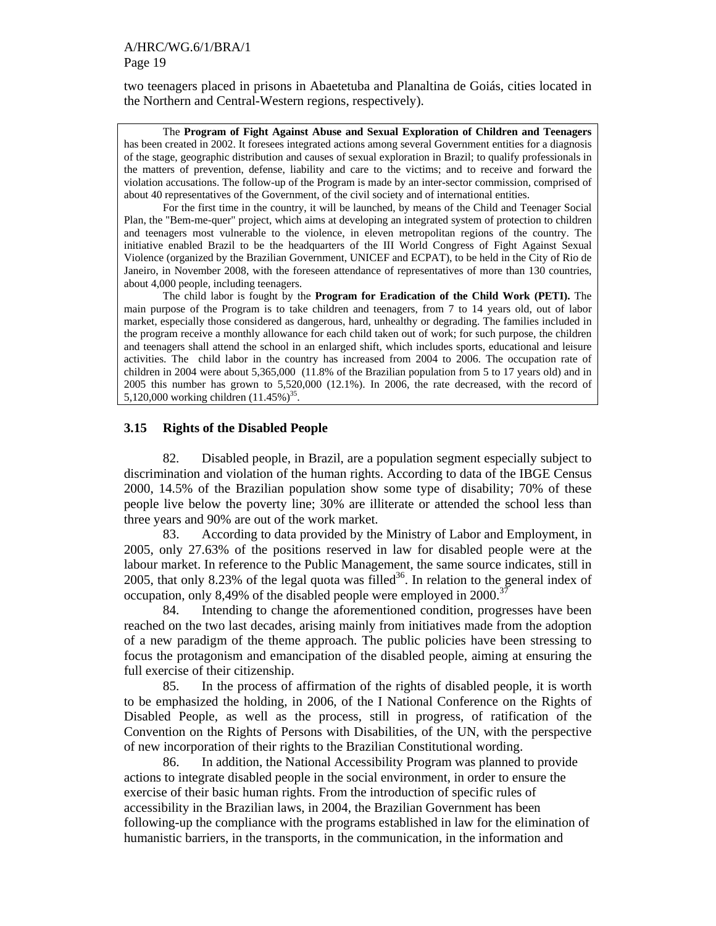two teenagers placed in prisons in Abaetetuba and Planaltina de Goiás, cities located in the Northern and Central-Western regions, respectively).

The **Program of Fight Against Abuse and Sexual Exploration of Children and Teenagers** has been created in 2002. It foresees integrated actions among several Government entities for a diagnosis of the stage, geographic distribution and causes of sexual exploration in Brazil; to qualify professionals in the matters of prevention, defense, liability and care to the victims; and to receive and forward the violation accusations. The follow-up of the Program is made by an inter-sector commission, comprised of about 40 representatives of the Government, of the civil society and of international entities.

For the first time in the country, it will be launched, by means of the Child and Teenager Social Plan, the "Bem-me-quer" project, which aims at developing an integrated system of protection to children and teenagers most vulnerable to the violence, in eleven metropolitan regions of the country. The initiative enabled Brazil to be the headquarters of the III World Congress of Fight Against Sexual Violence (organized by the Brazilian Government, UNICEF and ECPAT), to be held in the City of Rio de Janeiro, in November 2008, with the foreseen attendance of representatives of more than 130 countries, about 4,000 people, including teenagers.

The child labor is fought by the **Program for Eradication of the Child Work (PETI).** The main purpose of the Program is to take children and teenagers, from 7 to 14 years old, out of labor market, especially those considered as dangerous, hard, unhealthy or degrading. The families included in the program receive a monthly allowance for each child taken out of work; for such purpose, the children and teenagers shall attend the school in an enlarged shift, which includes sports, educational and leisure activities. The child labor in the country has increased from 2004 to 2006. The occupation rate of children in 2004 were about 5,365,000 (11.8% of the Brazilian population from 5 to 17 years old) and in 2005 this number has grown to 5,520,000 (12.1%). In 2006, the rate decreased, with the record of 5,120,000 working children  $(11.45\%)^{35}$ .

### **3.15 Rights of the Disabled People**

82. Disabled people, in Brazil, are a population segment especially subject to discrimination and violation of the human rights. According to data of the IBGE Census 2000, 14.5% of the Brazilian population show some type of disability; 70% of these people live below the poverty line; 30% are illiterate or attended the school less than three years and 90% are out of the work market.

83. According to data provided by the Ministry of Labor and Employment, in 2005, only 27.63% of the positions reserved in law for disabled people were at the labour market. In reference to the Public Management, the same source indicates, still in 2005, that only 8.23% of the legal quota was filled<sup>36</sup>. In relation to the general index of occupation, only 8,49% of the disabled people were employed in 2000.<sup>37</sup>

84. Intending to change the aforementioned condition, progresses have been reached on the two last decades, arising mainly from initiatives made from the adoption of a new paradigm of the theme approach. The public policies have been stressing to focus the protagonism and emancipation of the disabled people, aiming at ensuring the full exercise of their citizenship.

85. In the process of affirmation of the rights of disabled people, it is worth to be emphasized the holding, in 2006, of the I National Conference on the Rights of Disabled People, as well as the process, still in progress, of ratification of the Convention on the Rights of Persons with Disabilities, of the UN, with the perspective of new incorporation of their rights to the Brazilian Constitutional wording.

86. In addition, the National Accessibility Program was planned to provide actions to integrate disabled people in the social environment, in order to ensure the exercise of their basic human rights. From the introduction of specific rules of accessibility in the Brazilian laws, in 2004, the Brazilian Government has been following-up the compliance with the programs established in law for the elimination of humanistic barriers, in the transports, in the communication, in the information and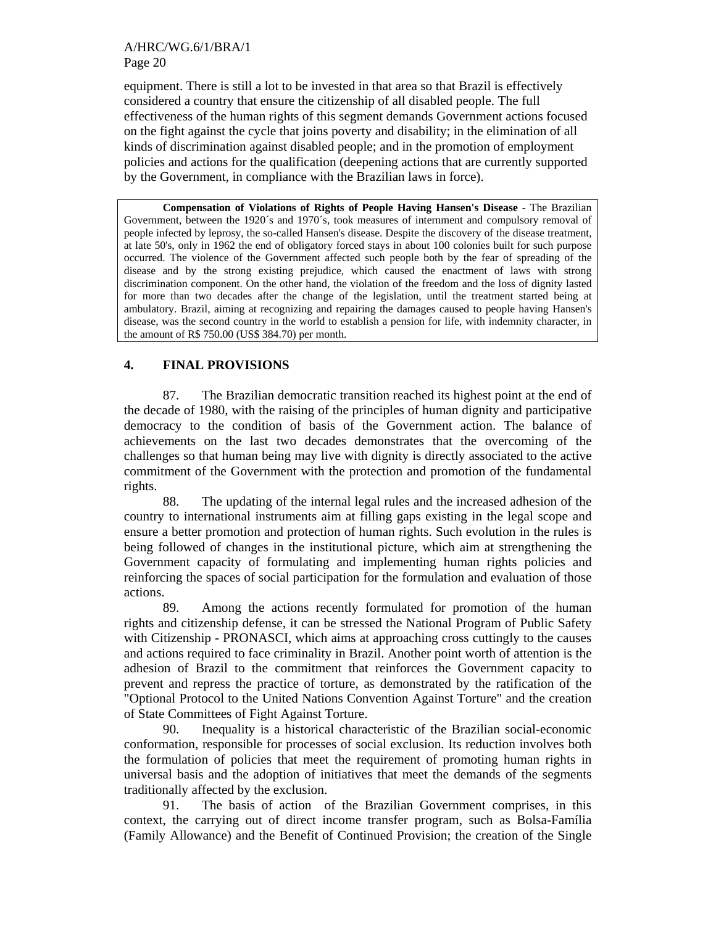#### A/HRC/WG.6/1/BRA/1 Page 20

equipment. There is still a lot to be invested in that area so that Brazil is effectively considered a country that ensure the citizenship of all disabled people. The full effectiveness of the human rights of this segment demands Government actions focused on the fight against the cycle that joins poverty and disability; in the elimination of all kinds of discrimination against disabled people; and in the promotion of employment policies and actions for the qualification (deepening actions that are currently supported by the Government, in compliance with the Brazilian laws in force).

**Compensation of Violations of Rights of People Having Hansen's Disease** - The Brazilian Government, between the 1920´s and 1970´s, took measures of internment and compulsory removal of people infected by leprosy, the so-called Hansen's disease. Despite the discovery of the disease treatment, at late 50's, only in 1962 the end of obligatory forced stays in about 100 colonies built for such purpose occurred. The violence of the Government affected such people both by the fear of spreading of the disease and by the strong existing prejudice, which caused the enactment of laws with strong discrimination component. On the other hand, the violation of the freedom and the loss of dignity lasted for more than two decades after the change of the legislation, until the treatment started being at ambulatory. Brazil, aiming at recognizing and repairing the damages caused to people having Hansen's disease, was the second country in the world to establish a pension for life, with indemnity character, in the amount of R\$ 750.00 (US\$ 384.70) per month.

# **4. FINAL PROVISIONS**

87. The Brazilian democratic transition reached its highest point at the end of the decade of 1980, with the raising of the principles of human dignity and participative democracy to the condition of basis of the Government action. The balance of achievements on the last two decades demonstrates that the overcoming of the challenges so that human being may live with dignity is directly associated to the active commitment of the Government with the protection and promotion of the fundamental rights.

88. The updating of the internal legal rules and the increased adhesion of the country to international instruments aim at filling gaps existing in the legal scope and ensure a better promotion and protection of human rights. Such evolution in the rules is being followed of changes in the institutional picture, which aim at strengthening the Government capacity of formulating and implementing human rights policies and reinforcing the spaces of social participation for the formulation and evaluation of those actions.

89. Among the actions recently formulated for promotion of the human rights and citizenship defense, it can be stressed the National Program of Public Safety with Citizenship - PRONASCI, which aims at approaching cross cuttingly to the causes and actions required to face criminality in Brazil. Another point worth of attention is the adhesion of Brazil to the commitment that reinforces the Government capacity to prevent and repress the practice of torture, as demonstrated by the ratification of the "Optional Protocol to the United Nations Convention Against Torture" and the creation of State Committees of Fight Against Torture.

90. Inequality is a historical characteristic of the Brazilian social-economic conformation, responsible for processes of social exclusion. Its reduction involves both the formulation of policies that meet the requirement of promoting human rights in universal basis and the adoption of initiatives that meet the demands of the segments traditionally affected by the exclusion.

91. The basis of action of the Brazilian Government comprises, in this context, the carrying out of direct income transfer program, such as Bolsa-Família (Family Allowance) and the Benefit of Continued Provision; the creation of the Single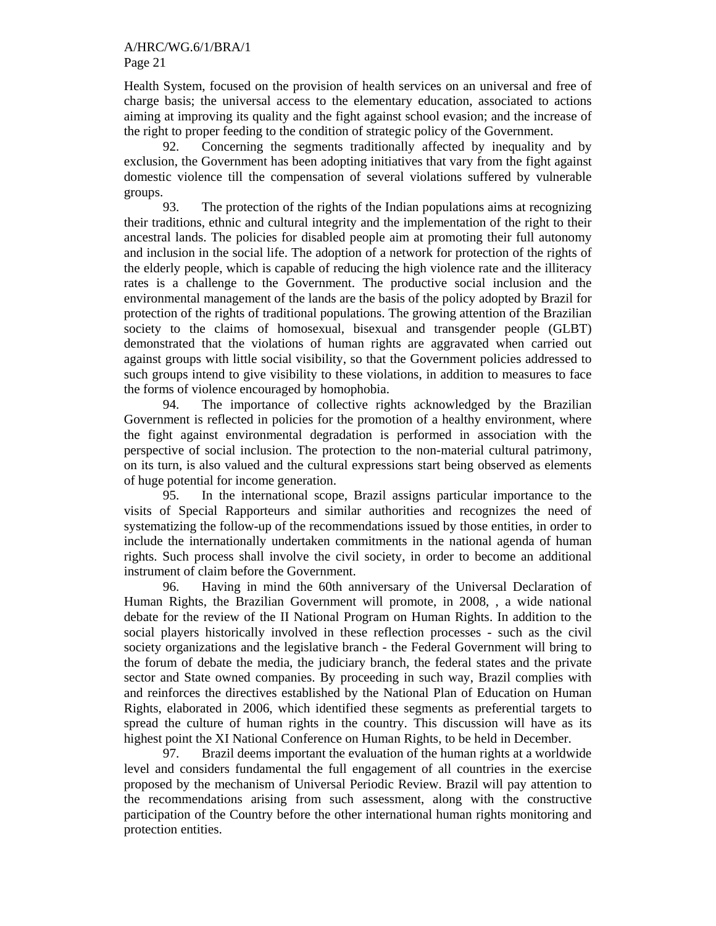Health System, focused on the provision of health services on an universal and free of charge basis; the universal access to the elementary education, associated to actions aiming at improving its quality and the fight against school evasion; and the increase of the right to proper feeding to the condition of strategic policy of the Government.

92. Concerning the segments traditionally affected by inequality and by exclusion, the Government has been adopting initiatives that vary from the fight against domestic violence till the compensation of several violations suffered by vulnerable groups.

93. The protection of the rights of the Indian populations aims at recognizing their traditions, ethnic and cultural integrity and the implementation of the right to their ancestral lands. The policies for disabled people aim at promoting their full autonomy and inclusion in the social life. The adoption of a network for protection of the rights of the elderly people, which is capable of reducing the high violence rate and the illiteracy rates is a challenge to the Government. The productive social inclusion and the environmental management of the lands are the basis of the policy adopted by Brazil for protection of the rights of traditional populations. The growing attention of the Brazilian society to the claims of homosexual, bisexual and transgender people (GLBT) demonstrated that the violations of human rights are aggravated when carried out against groups with little social visibility, so that the Government policies addressed to such groups intend to give visibility to these violations, in addition to measures to face the forms of violence encouraged by homophobia.

94. The importance of collective rights acknowledged by the Brazilian Government is reflected in policies for the promotion of a healthy environment, where the fight against environmental degradation is performed in association with the perspective of social inclusion. The protection to the non-material cultural patrimony, on its turn, is also valued and the cultural expressions start being observed as elements of huge potential for income generation.

95. In the international scope, Brazil assigns particular importance to the visits of Special Rapporteurs and similar authorities and recognizes the need of systematizing the follow-up of the recommendations issued by those entities, in order to include the internationally undertaken commitments in the national agenda of human rights. Such process shall involve the civil society, in order to become an additional instrument of claim before the Government.

96. Having in mind the 60th anniversary of the Universal Declaration of Human Rights, the Brazilian Government will promote, in 2008, , a wide national debate for the review of the II National Program on Human Rights. In addition to the social players historically involved in these reflection processes - such as the civil society organizations and the legislative branch - the Federal Government will bring to the forum of debate the media, the judiciary branch, the federal states and the private sector and State owned companies. By proceeding in such way, Brazil complies with and reinforces the directives established by the National Plan of Education on Human Rights, elaborated in 2006, which identified these segments as preferential targets to spread the culture of human rights in the country. This discussion will have as its highest point the XI National Conference on Human Rights, to be held in December.

97. Brazil deems important the evaluation of the human rights at a worldwide level and considers fundamental the full engagement of all countries in the exercise proposed by the mechanism of Universal Periodic Review. Brazil will pay attention to the recommendations arising from such assessment, along with the constructive participation of the Country before the other international human rights monitoring and protection entities.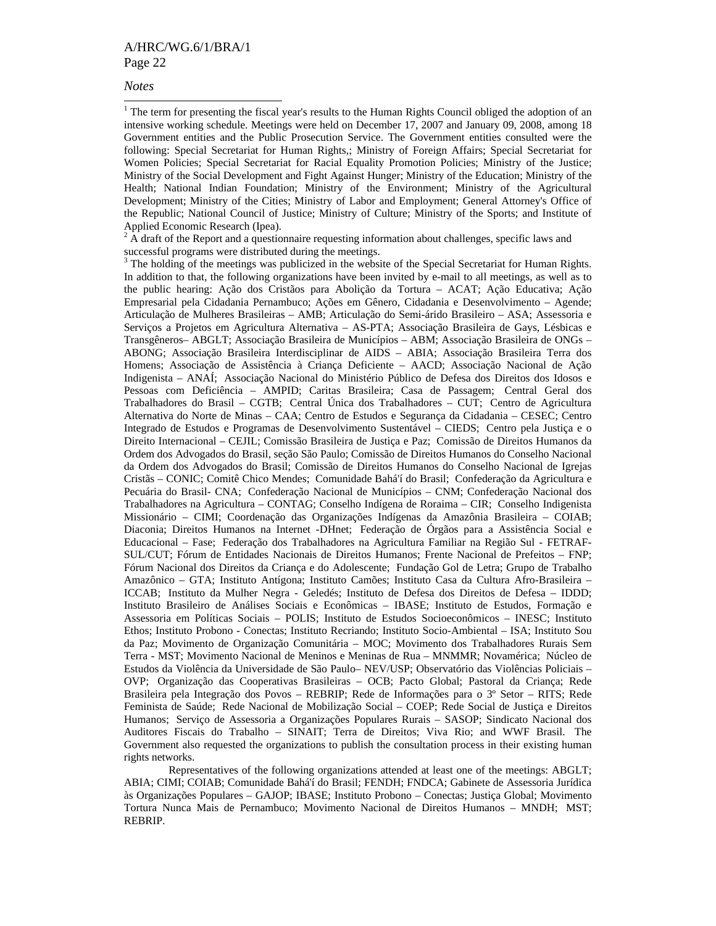#### *Notes*

 $\overline{a}$ 

<sup>1</sup> The term for presenting the fiscal year's results to the Human Rights Council obliged the adoption of an intensive working schedule. Meetings were held on December 17, 2007 and January 09, 2008, among 18 Government entities and the Public Prosecution Service. The Government entities consulted were the following: Special Secretariat for Human Rights,; Ministry of Foreign Affairs; Special Secretariat for Women Policies; Special Secretariat for Racial Equality Promotion Policies; Ministry of the Justice; Ministry of the Social Development and Fight Against Hunger; Ministry of the Education; Ministry of the Health; National Indian Foundation; Ministry of the Environment; Ministry of the Agricultural Development; Ministry of the Cities; Ministry of Labor and Employment; General Attorney's Office of the Republic; National Council of Justice; Ministry of Culture; Ministry of the Sports; and Institute of Applied Economic Research (Ipea).

 $2 \text{ Å}$  draft of the Report and a questionnaire requesting information about challenges, specific laws and successful programs were distributed during the meetings.

<sup>3</sup> The holding of the meetings was publicized in the website of the Special Secretariat for Human Rights. In addition to that, the following organizations have been invited by e-mail to all meetings, as well as to the public hearing: Ação dos Cristãos para Abolição da Tortura – ACAT; Ação Educativa; Ação Empresarial pela Cidadania Pernambuco; Ações em Gênero, Cidadania e Desenvolvimento – Agende; Articulação de Mulheres Brasileiras – AMB; Articulação do Semi-árido Brasileiro – ASA; Assessoria e Serviços a Projetos em Agricultura Alternativa – AS-PTA; Associação Brasileira de Gays, Lésbicas e Transgêneros– ABGLT; Associação Brasileira de Municípios – ABM; Associação Brasileira de ONGs – ABONG; Associação Brasileira Interdisciplinar de AIDS – ABIA; Associação Brasileira Terra dos Homens; Associação de Assistência à Criança Deficiente – AACD; Associação Nacional de Ação Indigenista – ANAÍ; Associação Nacional do Ministério Público de Defesa dos Direitos dos Idosos e Pessoas com Deficiência – AMPID; Caritas Brasileira; Casa de Passagem; Central Geral dos Trabalhadores do Brasil – CGTB; Central Única dos Trabalhadores – CUT; Centro de Agricultura Alternativa do Norte de Minas – CAA; Centro de Estudos e Segurança da Cidadania – CESEC; Centro Integrado de Estudos e Programas de Desenvolvimento Sustentável – CIEDS; Centro pela Justiça e o Direito Internacional – CEJIL; Comissão Brasileira de Justiça e Paz; Comissão de Direitos Humanos da Ordem dos Advogados do Brasil, seção São Paulo; Comissão de Direitos Humanos do Conselho Nacional da Ordem dos Advogados do Brasil; Comissão de Direitos Humanos do Conselho Nacional de Igrejas Cristãs – CONIC; Comitê Chico Mendes; Comunidade Bahá'í do Brasil; Confederação da Agricultura e Pecuária do Brasil- CNA; Confederação Nacional de Municípios – CNM; Confederação Nacional dos Trabalhadores na Agricultura – CONTAG; Conselho Indígena de Roraima – CIR; Conselho Indigenista Missionário – CIMI; Coordenação das Organizações Indígenas da Amazônia Brasileira – COIAB; Diaconia; Direitos Humanos na Internet -DHnet; Federação de Órgãos para a Assistência Social e Educacional – Fase; Federação dos Trabalhadores na Agricultura Familiar na Região Sul - FETRAF-SUL/CUT; Fórum de Entidades Nacionais de Direitos Humanos; Frente Nacional de Prefeitos – FNP; Fórum Nacional dos Direitos da Criança e do Adolescente; Fundação Gol de Letra; Grupo de Trabalho Amazônico – GTA; Instituto Antígona; Instituto Camões; Instituto Casa da Cultura Afro-Brasileira – ICCAB; Instituto da Mulher Negra - Geledés; Instituto de Defesa dos Direitos de Defesa – IDDD; Instituto Brasileiro de Análises Sociais e Econômicas – IBASE; Instituto de Estudos, Formação e Assessoria em Políticas Sociais – POLIS; Instituto de Estudos Socioeconômicos – INESC; Instituto Ethos; Instituto Probono - Conectas; Instituto Recriando; Instituto Socio-Ambiental – ISA; Instituto Sou da Paz; Movimento de Organização Comunitária – MOC; Movimento dos Trabalhadores Rurais Sem Terra - MST; Movimento Nacional de Meninos e Meninas de Rua – MNMMR; Novamérica; Núcleo de Estudos da Violência da Universidade de São Paulo– NEV/USP; Observatório das Violências Policiais – OVP; Organização das Cooperativas Brasileiras – OCB; Pacto Global; Pastoral da Criança; Rede Brasileira pela Integração dos Povos – REBRIP; Rede de Informações para o 3º Setor – RITS; Rede Feminista de Saúde; Rede Nacional de Mobilização Social – COEP; Rede Social de Justiça e Direitos Humanos; Serviço de Assessoria a Organizações Populares Rurais – SASOP; Sindicato Nacional dos Auditores Fiscais do Trabalho – SINAIT; Terra de Direitos; Viva Rio; and WWF Brasil. The Government also requested the organizations to publish the consultation process in their existing human rights networks.

 Representatives of the following organizations attended at least one of the meetings: ABGLT; ABIA; CIMI; COIAB; Comunidade Bahá'í do Brasil; FENDH; FNDCA; Gabinete de Assessoria Jurídica às Organizações Populares – GAJOP; IBASE; Instituto Probono – Conectas; Justiça Global; Movimento Tortura Nunca Mais de Pernambuco; Movimento Nacional de Direitos Humanos – MNDH; MST; REBRIP.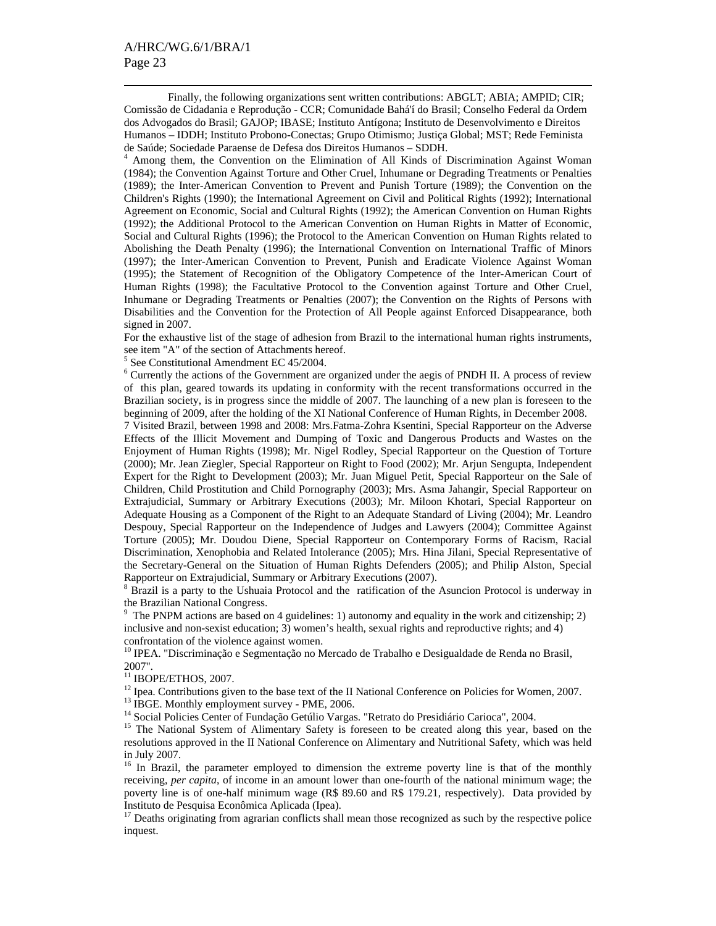$\overline{a}$ 

 Finally, the following organizations sent written contributions: ABGLT; ABIA; AMPID; CIR; Comissão de Cidadania e Reprodução - CCR; Comunidade Bahá'í do Brasil; Conselho Federal da Ordem dos Advogados do Brasil; GAJOP; IBASE; Instituto Antígona; Instituto de Desenvolvimento e Direitos Humanos – IDDH; Instituto Probono-Conectas; Grupo Otimismo; Justiça Global; MST; Rede Feminista de Saúde; Sociedade Paraense de Defesa dos Direitos Humanos – SDDH.

4 Among them, the Convention on the Elimination of All Kinds of Discrimination Against Woman (1984); the Convention Against Torture and Other Cruel, Inhumane or Degrading Treatments or Penalties (1989); the Inter-American Convention to Prevent and Punish Torture (1989); the Convention on the Children's Rights (1990); the International Agreement on Civil and Political Rights (1992); International Agreement on Economic, Social and Cultural Rights (1992); the American Convention on Human Rights (1992); the Additional Protocol to the American Convention on Human Rights in Matter of Economic, Social and Cultural Rights (1996); the Protocol to the American Convention on Human Rights related to Abolishing the Death Penalty (1996); the International Convention on International Traffic of Minors (1997); the Inter-American Convention to Prevent, Punish and Eradicate Violence Against Woman (1995); the Statement of Recognition of the Obligatory Competence of the Inter-American Court of Human Rights (1998); the Facultative Protocol to the Convention against Torture and Other Cruel, Inhumane or Degrading Treatments or Penalties (2007); the Convention on the Rights of Persons with Disabilities and the Convention for the Protection of All People against Enforced Disappearance, both signed in 2007.

For the exhaustive list of the stage of adhesion from Brazil to the international human rights instruments, see item "A" of the section of Attachments hereof.

5 See Constitutional Amendment EC 45/2004.

<sup>6</sup> Currently the actions of the Government are organized under the aegis of PNDH II. A process of review of this plan, geared towards its updating in conformity with the recent transformations occurred in the Brazilian society, is in progress since the middle of 2007. The launching of a new plan is foreseen to the beginning of 2009, after the holding of the XI National Conference of Human Rights, in December 2008.

7 Visited Brazil, between 1998 and 2008: Mrs.Fatma-Zohra Ksentini, Special Rapporteur on the Adverse Effects of the Illicit Movement and Dumping of Toxic and Dangerous Products and Wastes on the Enjoyment of Human Rights (1998); Mr. Nigel Rodley, Special Rapporteur on the Question of Torture (2000); Mr. Jean Ziegler, Special Rapporteur on Right to Food (2002); Mr. Arjun Sengupta, Independent Expert for the Right to Development (2003); Mr. Juan Miguel Petit, Special Rapporteur on the Sale of Children, Child Prostitution and Child Pornography (2003); Mrs. Asma Jahangir, Special Rapporteur on Extrajudicial, Summary or Arbitrary Executions (2003); Mr. Miloon Khotari, Special Rapporteur on Adequate Housing as a Component of the Right to an Adequate Standard of Living (2004); Mr. Leandro Despouy, Special Rapporteur on the Independence of Judges and Lawyers (2004); Committee Against Torture (2005); Mr. Doudou Diene, Special Rapporteur on Contemporary Forms of Racism, Racial Discrimination, Xenophobia and Related Intolerance (2005); Mrs. Hina Jilani, Special Representative of the Secretary-General on the Situation of Human Rights Defenders (2005); and Philip Alston, Special Rapporteur on Extrajudicial, Summary or Arbitrary Executions (2007).

<sup>8</sup> Brazil is a party to the Ushuaia Protocol and the ratification of the Asuncion Protocol is underway in the Brazilian National Congress.

<sup>9</sup> The PNPM actions are based on 4 guidelines: 1) autonomy and equality in the work and citizenship; 2) inclusive and non-sexist education; 3) women's health, sexual rights and reproductive rights; and 4) confrontation of the violence against women.

<sup>10</sup> IPEA. "Discriminação e Segmentação no Mercado de Trabalho e Desigualdade de Renda no Brasil, 2007".

 $^{11}$  IBOPE/ETHOS, 2007.

<sup>12</sup> Ipea. Contributions given to the base text of the II National Conference on Policies for Women, 2007.

<sup>13</sup> IBGE. Monthly employment survey - PME, 2006.

<sup>14</sup> Social Policies Center of Fundação Getúlio Vargas. "Retrato do Presidiário Carioca", 2004.

<sup>15</sup> The National System of Alimentary Safety is foreseen to be created along this year, based on the resolutions approved in the II National Conference on Alimentary and Nutritional Safety, which was held in July 2007.

<sup>16</sup> In Brazil, the parameter employed to dimension the extreme poverty line is that of the monthly receiving, *per capita*, of income in an amount lower than one-fourth of the national minimum wage; the poverty line is of one-half minimum wage (R\$ 89.60 and R\$ 179.21, respectively). Data provided by Instituto de Pesquisa Econômica Aplicada (Ipea).

<sup>17</sup> Deaths originating from agrarian conflicts shall mean those recognized as such by the respective police inquest.